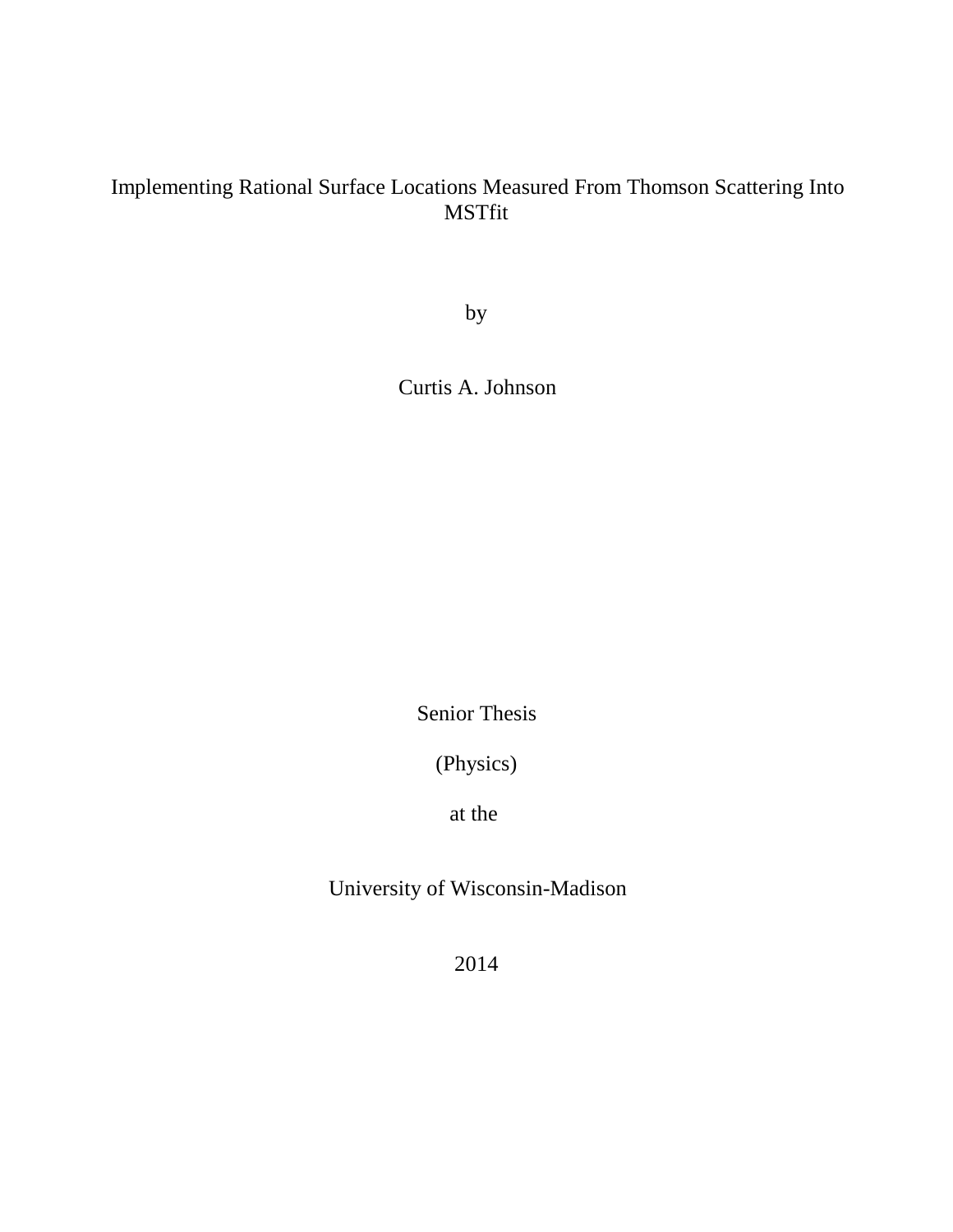## Implementing Rational Surface Locations Measured From Thomson Scattering Into MSTfit

by

Curtis A. Johnson

Senior Thesis

(Physics)

at the

University of Wisconsin-Madison

2014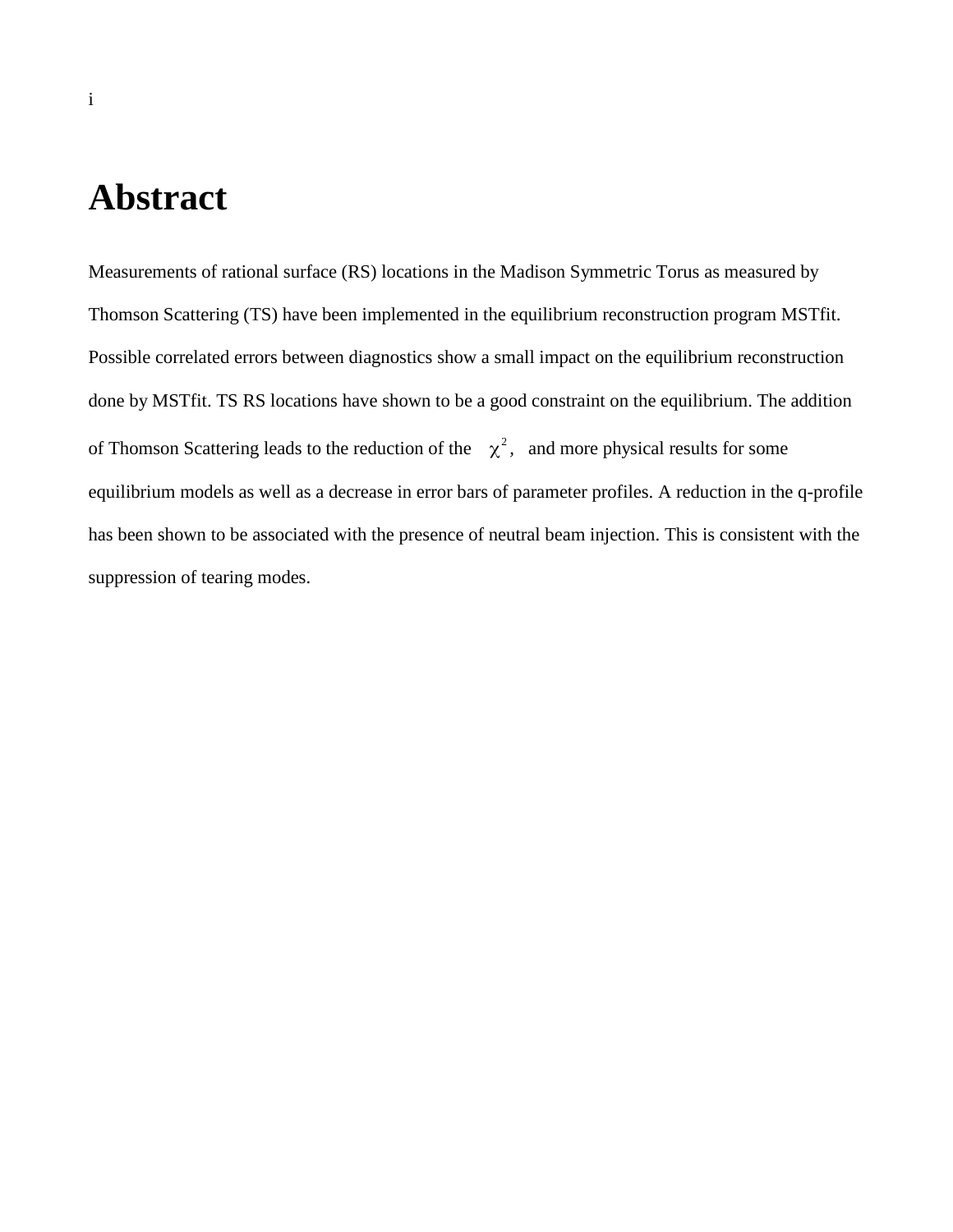# **Abstract**

Measurements of rational surface (RS) locations in the Madison Symmetric Torus as measured by Thomson Scattering (TS) have been implemented in the equilibrium reconstruction program MSTfit. Possible correlated errors between diagnostics show a small impact on the equilibrium reconstruction done by MSTfit. TS RS locations have shown to be a good constraint on the equilibrium. The addition of Thomson Scattering leads to the reduction of the  $\chi^2$ , and more physical results for some equilibrium models as well as a decrease in error bars of parameter profiles. A reduction in the q-profile has been shown to be associated with the presence of neutral beam injection. This is consistent with the suppression of tearing modes.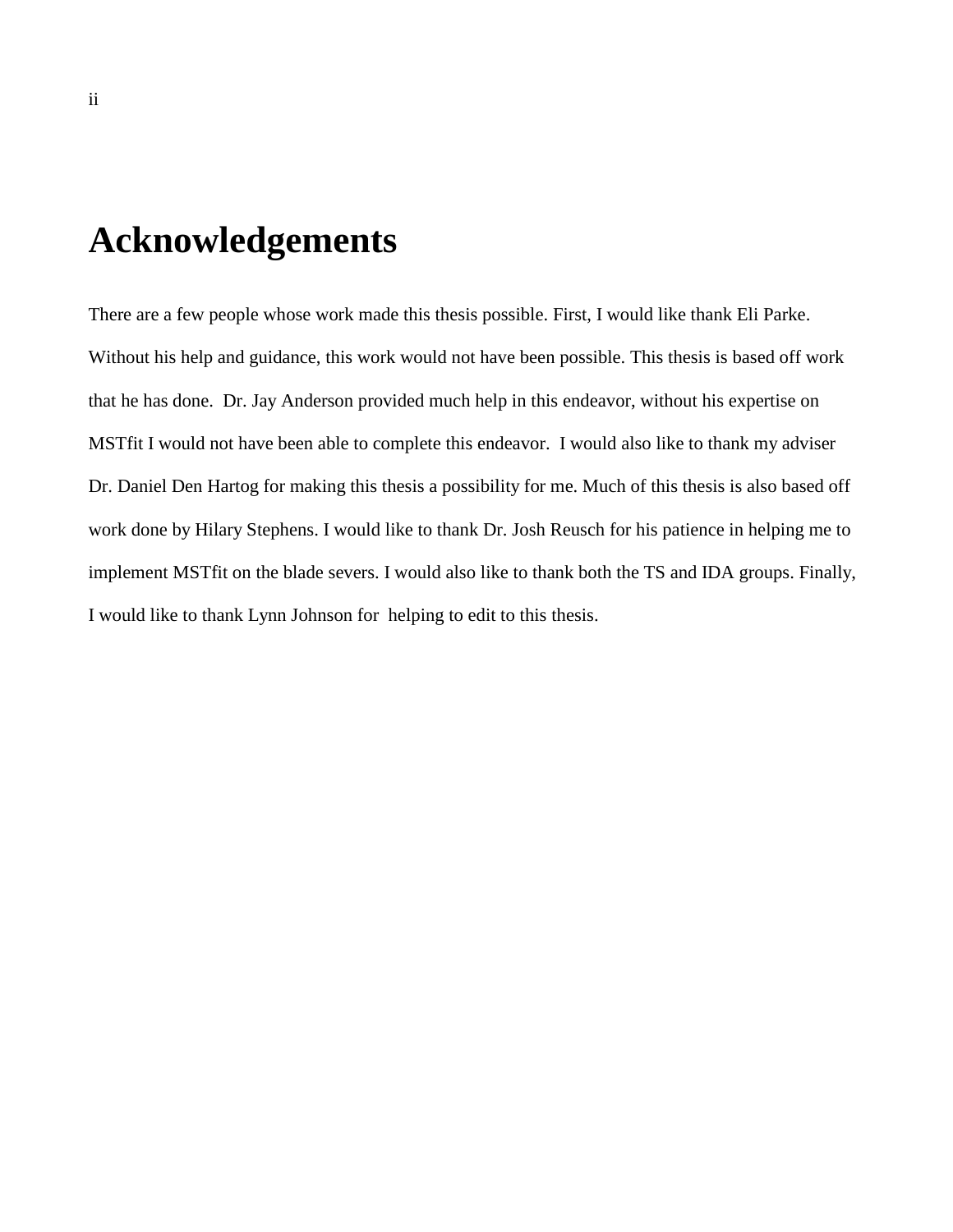# **Acknowledgements**

There are a few people whose work made this thesis possible. First, I would like thank Eli Parke. Without his help and guidance, this work would not have been possible. This thesis is based off work that he has done. Dr. Jay Anderson provided much help in this endeavor, without his expertise on MSTfit I would not have been able to complete this endeavor. I would also like to thank my adviser Dr. Daniel Den Hartog for making this thesis a possibility for me. Much of this thesis is also based off work done by Hilary Stephens. I would like to thank Dr. Josh Reusch for his patience in helping me to implement MSTfit on the blade severs. I would also like to thank both the TS and IDA groups. Finally, I would like to thank Lynn Johnson for helping to edit to this thesis.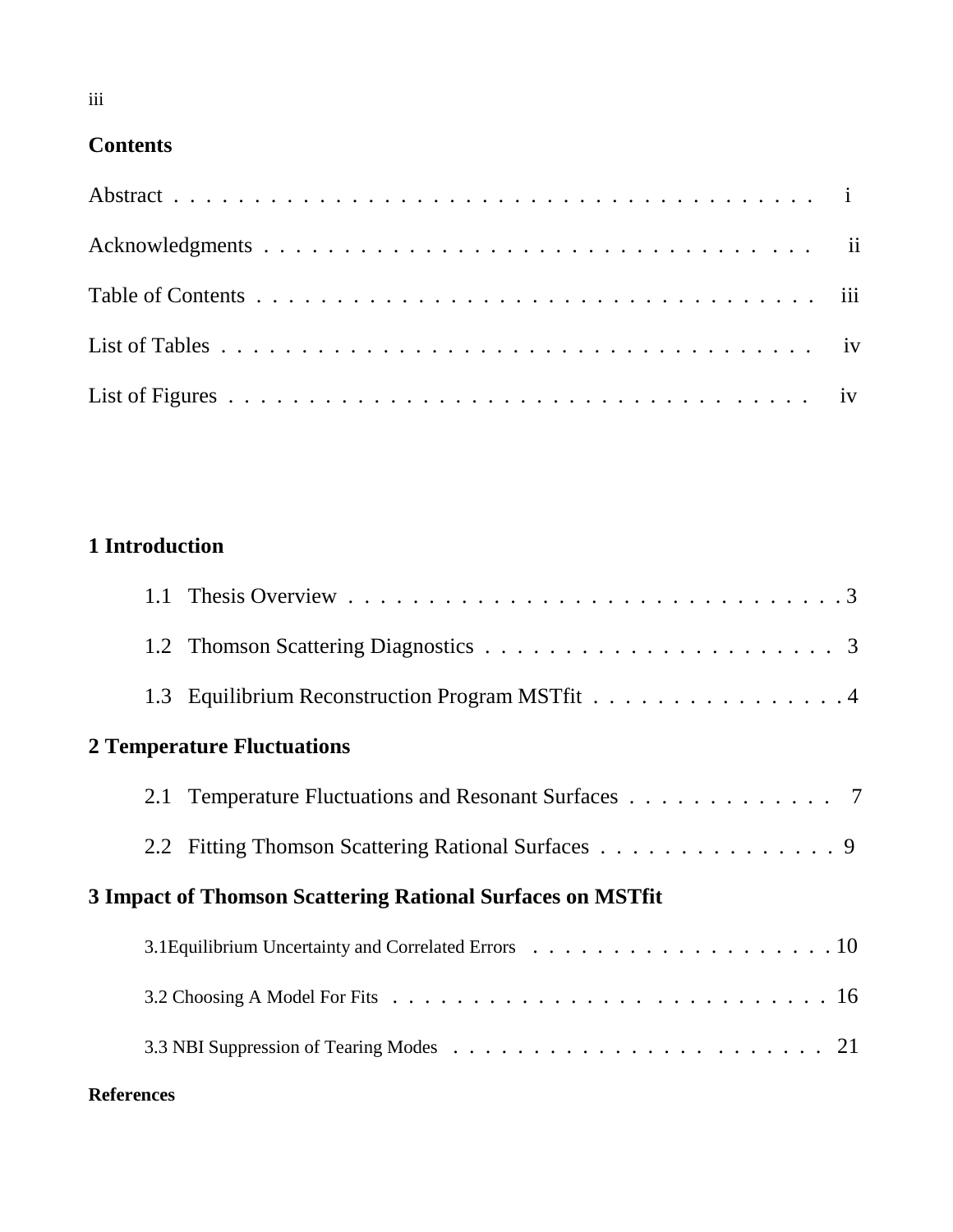## **Contents**

# **1 Introduction**

| 1.3 Equilibrium Reconstruction Program MSTfit 4            |
|------------------------------------------------------------|
| <b>2 Temperature Fluctuations</b>                          |
| 2.1 Temperature Fluctuations and Resonant Surfaces 7       |
| 2.2 Fitting Thomson Scattering Rational Surfaces 9         |
| 3 Impact of Thomson Scattering Rational Surfaces on MSTfit |
|                                                            |
|                                                            |
|                                                            |

### **References**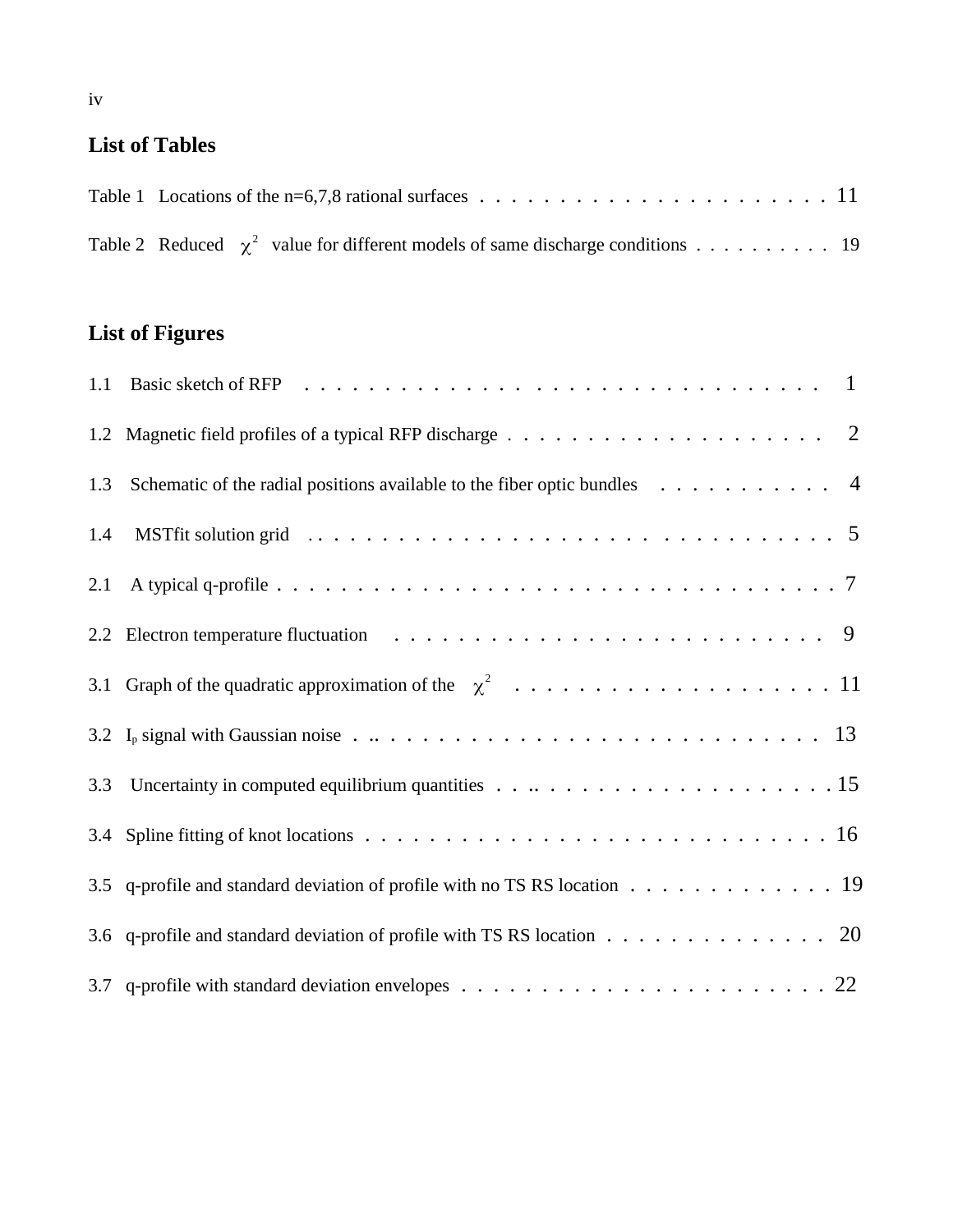# **List of Tables**

| Table 2 Reduced $\chi^2$ value for different models of same discharge conditions 19 |  |
|-------------------------------------------------------------------------------------|--|

# **List of Figures**

| 1.3              | Schematic of the radial positions available to the fiber optic bundles $\dots \dots \dots \dots$                                                                                                                              |
|------------------|-------------------------------------------------------------------------------------------------------------------------------------------------------------------------------------------------------------------------------|
| 1.4              | MSTfit solution grid (a) respectively and the context of the context of the context of the context of the context of the context of the context of the context of the context of the context of the context of the context of |
| 2.1              |                                                                                                                                                                                                                               |
|                  |                                                                                                                                                                                                                               |
|                  |                                                                                                                                                                                                                               |
|                  |                                                                                                                                                                                                                               |
| 3.3 <sub>2</sub> |                                                                                                                                                                                                                               |
|                  |                                                                                                                                                                                                                               |
|                  | 3.5 q-profile and standard deviation of profile with no TS RS location 19                                                                                                                                                     |
|                  | 3.6 q-profile and standard deviation of profile with TS RS location 20                                                                                                                                                        |
|                  |                                                                                                                                                                                                                               |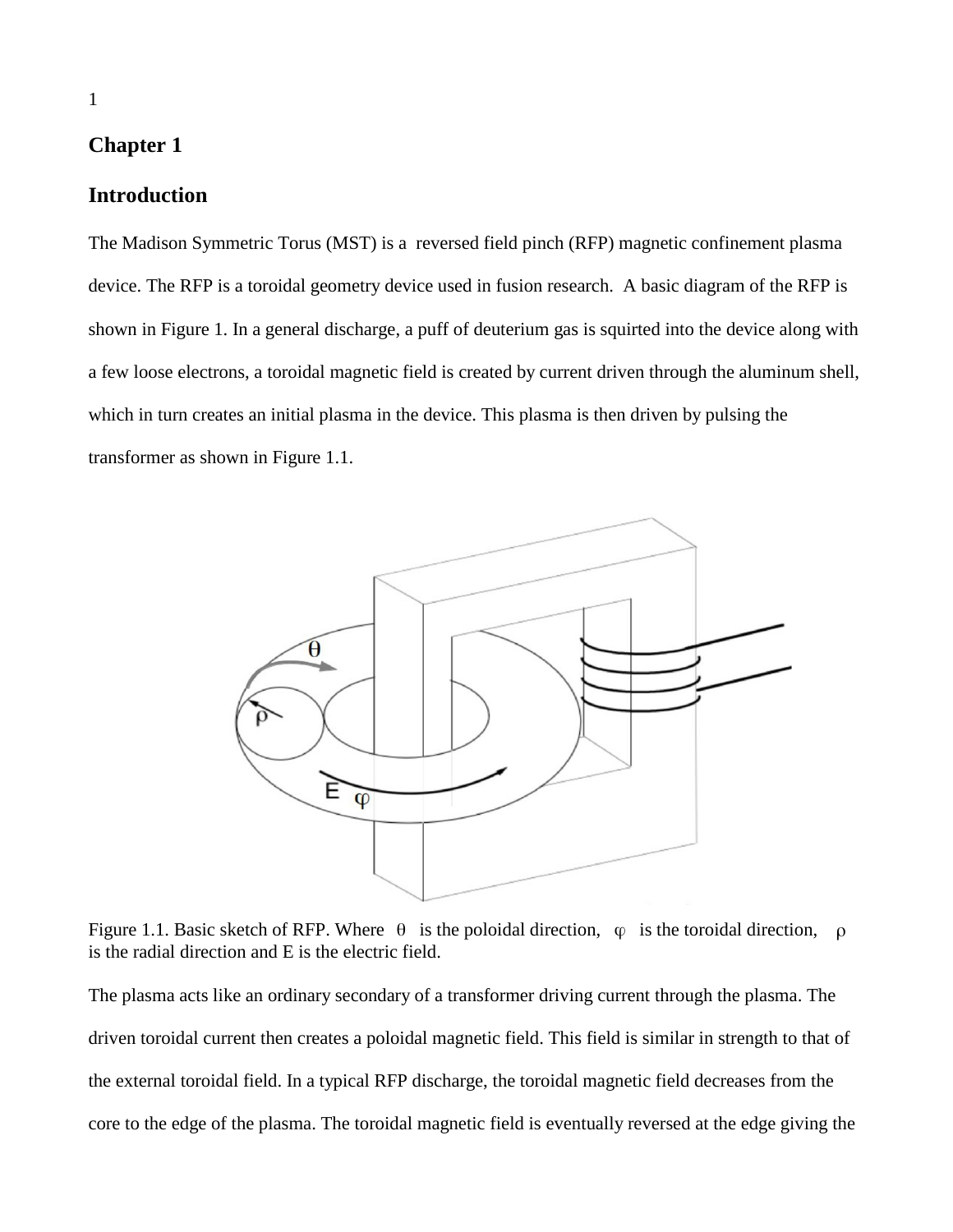#### **Chapter 1**

#### **Introduction**

The Madison Symmetric Torus (MST) is a reversed field pinch (RFP) magnetic confinement plasma device. The RFP is a toroidal geometry device used in fusion research. A basic diagram of the RFP is shown in Figure 1. In a general discharge, a puff of deuterium gas is squirted into the device along with a few loose electrons, a toroidal magnetic field is created by current driven through the aluminum shell, which in turn creates an initial plasma in the device. This plasma is then driven by pulsing the transformer as shown in Figure 1.1.



Figure 1.1. Basic sketch of RFP. Where  $\theta$  is the poloidal direction,  $\varphi$  is the toroidal direction,  $\rho$ is the radial direction and E is the electric field.

The plasma acts like an ordinary secondary of a transformer driving current through the plasma. The driven toroidal current then creates a poloidal magnetic field. This field is similar in strength to that of the external toroidal field. In a typical RFP discharge, the toroidal magnetic field decreases from the core to the edge of the plasma. The toroidal magnetic field is eventually reversed at the edge giving the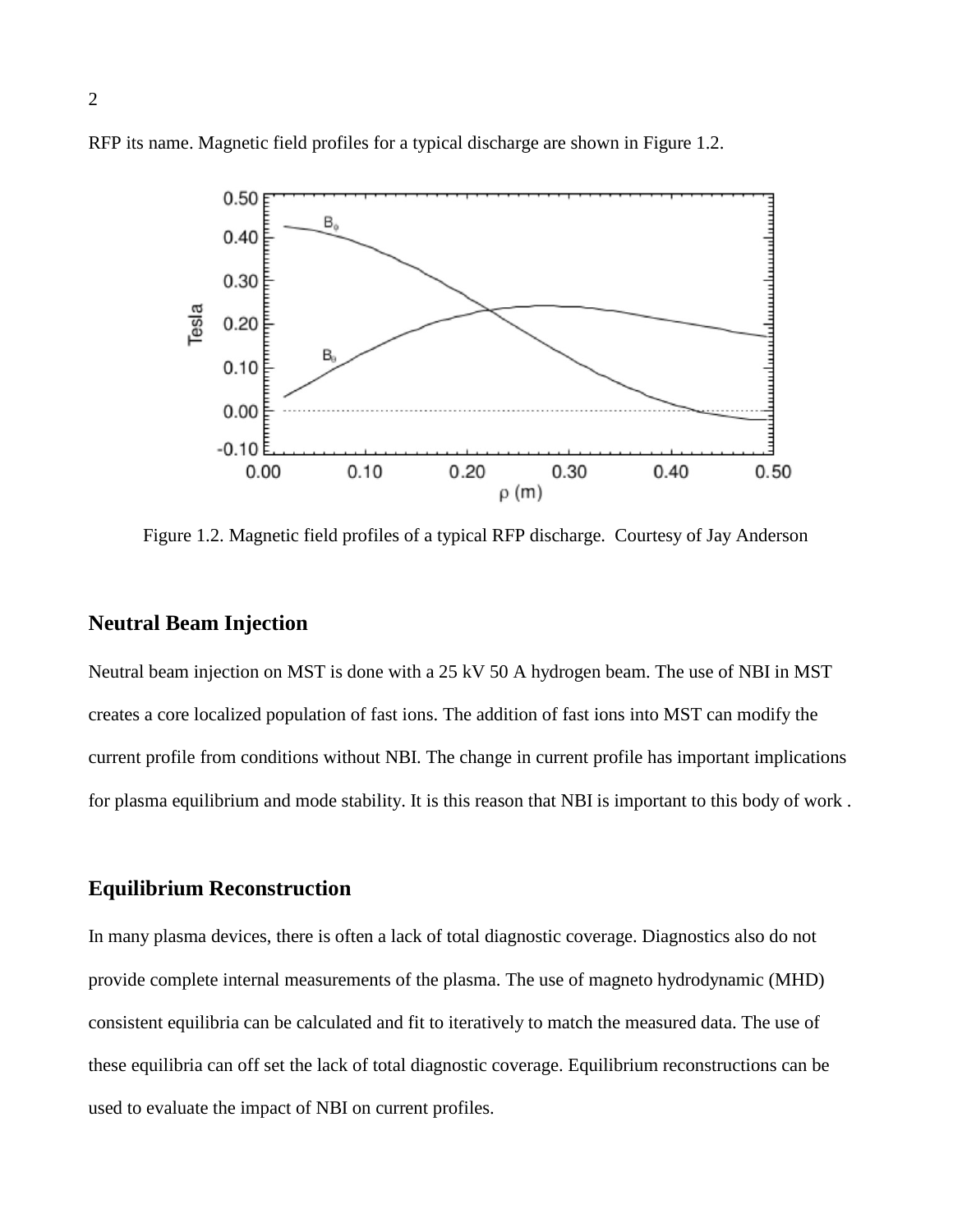

RFP its name. Magnetic field profiles for a typical discharge are shown in Figure 1.2.

Figure 1.2. Magnetic field profiles of a typical RFP discharge. Courtesy of Jay Anderson

#### **Neutral Beam Injection**

Neutral beam injection on MST is done with a 25 kV 50 A hydrogen beam. The use of NBI in MST creates a core localized population of fast ions. The addition of fast ions into MST can modify the current profile from conditions without NBI. The change in current profile has important implications for plasma equilibrium and mode stability. It is this reason that NBI is important to this body of work .

#### **Equilibrium Reconstruction**

In many plasma devices, there is often a lack of total diagnostic coverage. Diagnostics also do not provide complete internal measurements of the plasma. The use of magneto hydrodynamic (MHD) consistent equilibria can be calculated and fit to iteratively to match the measured data. The use of these equilibria can off set the lack of total diagnostic coverage. Equilibrium reconstructions can be used to evaluate the impact of NBI on current profiles.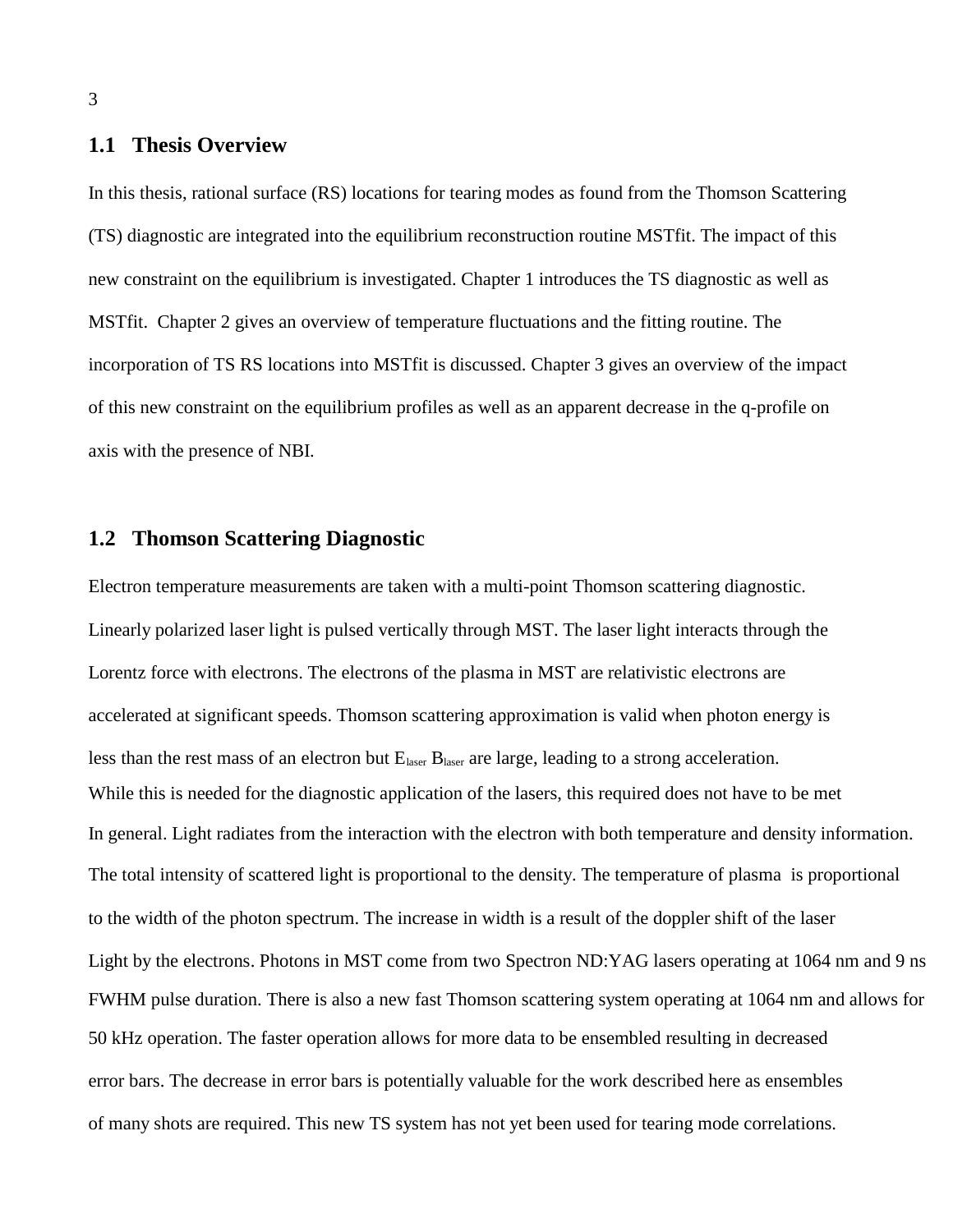#### **1.1 Thesis Overview**

In this thesis, rational surface (RS) locations for tearing modes as found from the Thomson Scattering (TS) diagnostic are integrated into the equilibrium reconstruction routine MSTfit. The impact of this new constraint on the equilibrium is investigated. Chapter 1 introduces the TS diagnostic as well as MSTfit. Chapter 2 gives an overview of temperature fluctuations and the fitting routine. The incorporation of TS RS locations into MSTfit is discussed. Chapter 3 gives an overview of the impact of this new constraint on the equilibrium profiles as well as an apparent decrease in the q-profile on axis with the presence of NBI.

#### **1.2 Thomson Scattering Diagnostic**

Electron temperature measurements are taken with a multi-point Thomson scattering diagnostic. Linearly polarized laser light is pulsed vertically through MST. The laser light interacts through the Lorentz force with electrons. The electrons of the plasma in MST are relativistic electrons are accelerated at significant speeds. Thomson scattering approximation is valid when photon energy is less than the rest mass of an electron but  $E_{\text{laser}}$   $B_{\text{laser}}$  are large, leading to a strong acceleration. The total intensity of scattered light is proportional to the density. The temperature of plasma is proportional to the width of the photon spectrum. The increase in width is a result of the doppler shift of the laser Light by the electrons. Photons in MST come from two Spectron ND:YAG lasers operating at 1064 nm and 9 ns FWHM pulse duration. There is also a new fast Thomson scattering system operating at 1064 nm and allows for 50 kHz operation. The faster operation allows for more data to be ensembled resulting in decreased error bars. The decrease in error bars is potentially valuable for the work described here as ensembles of many shots are required. This new TS system has not yet been used for tearing mode correlations. While this is needed for the diagnostic application of the lasers, this required does not have to be met In general. Light radiates from the interaction with the electron with both temperature and density information.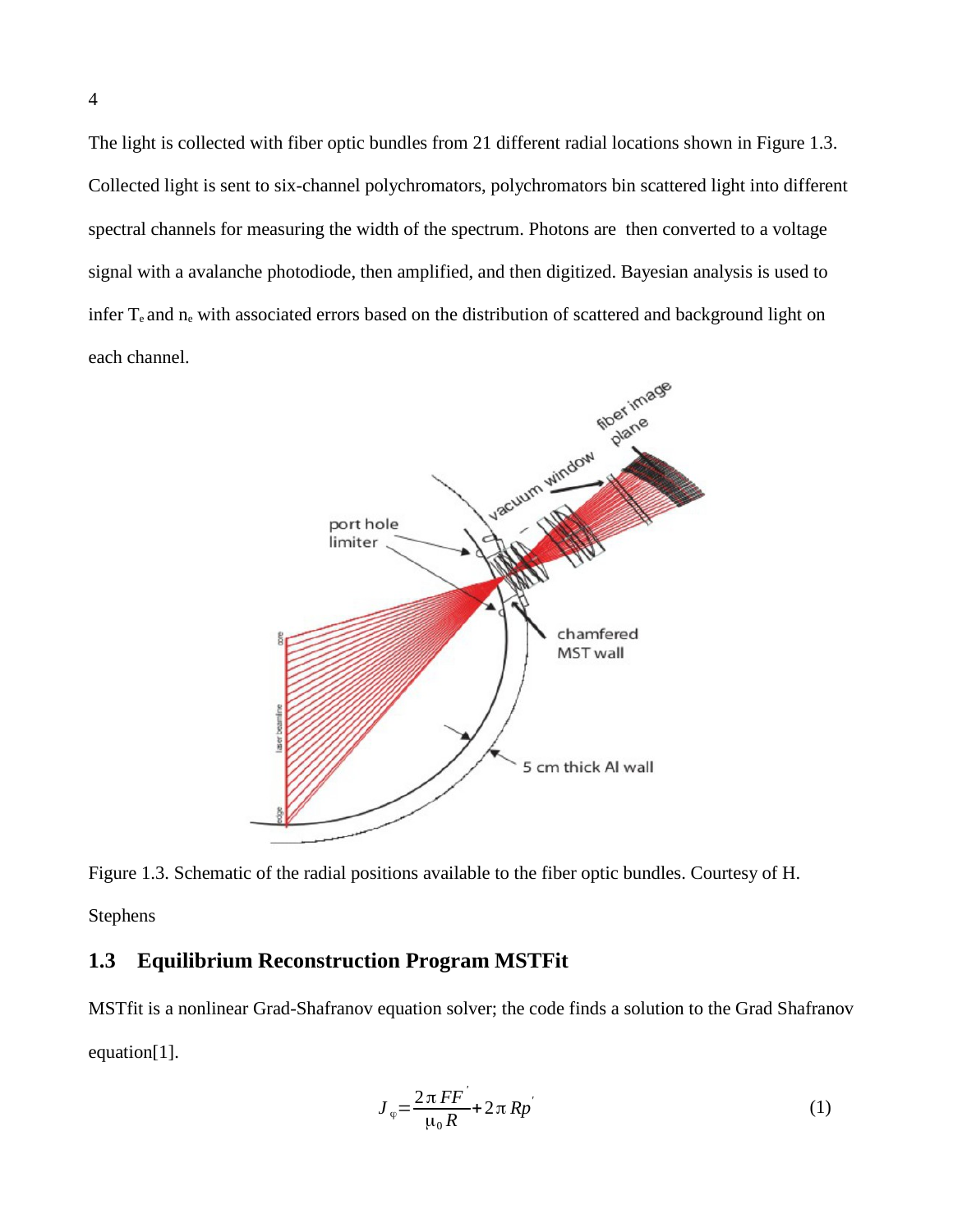The light is collected with fiber optic bundles from 21 different radial locations shown in Figure 1.3. Collected light is sent to six-channel polychromators, polychromators bin scattered light into different spectral channels for measuring the width of the spectrum. Photons are then converted to a voltage signal with a avalanche photodiode, then amplified, and then digitized. Bayesian analysis is used to infer  $T_e$  and  $n_e$  with associated errors based on the distribution of scattered and background light on each channel.



Figure 1.3. Schematic of the radial positions available to the fiber optic bundles. Courtesy of H. **Stephens** 

### **1.3 Equilibrium Reconstruction Program MSTFit**

MSTfit is a nonlinear Grad-Shafranov equation solver; the code finds a solution to the Grad Shafranov equation[1].

$$
J_{\varphi} = \frac{2\pi FF'}{\mu_0 R} + 2\pi Rp'
$$
 (1)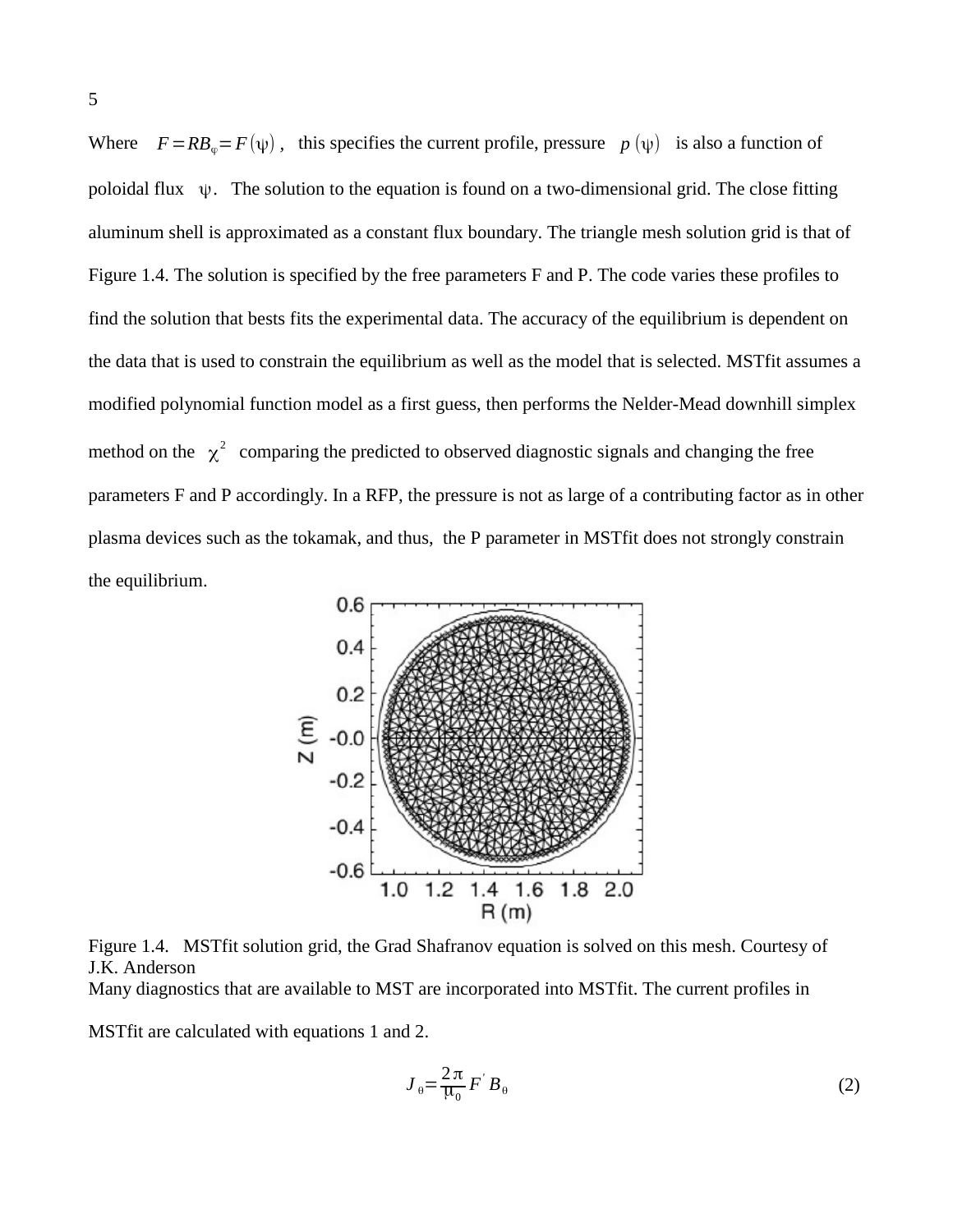Where  $F=R B_0 = F(\psi)$ , this specifies the current profile, pressure  $p(\psi)$  is also a function of poloidal flux  $\psi$ . The solution to the equation is found on a two-dimensional grid. The close fitting aluminum shell is approximated as a constant flux boundary. The triangle mesh solution grid is that of Figure 1.4. The solution is specified by the free parameters F and P. The code varies these profiles to find the solution that bests fits the experimental data. The accuracy of the equilibrium is dependent on the data that is used to constrain the equilibrium as well as the model that is selected. MSTfit assumes a modified polynomial function model as a first guess, then performs the Nelder-Mead downhill simplex method on the  $\chi^2$  comparing the predicted to observed diagnostic signals and changing the free parameters F and P accordingly. In a RFP, the pressure is not as large of a contributing factor as in other plasma devices such as the tokamak, and thus, the P parameter in MSTfit does not strongly constrain the equilibrium.



Figure 1.4. MSTfit solution grid, the Grad Shafranov equation is solved on this mesh. Courtesy of J.K. Anderson

Many diagnostics that are available to MST are incorporated into MSTfit. The current profiles in

MSTfit are calculated with equations 1 and 2.

$$
J_{\theta} = \frac{2\pi}{\mu_0} F^{'} B_{\theta} \tag{2}
$$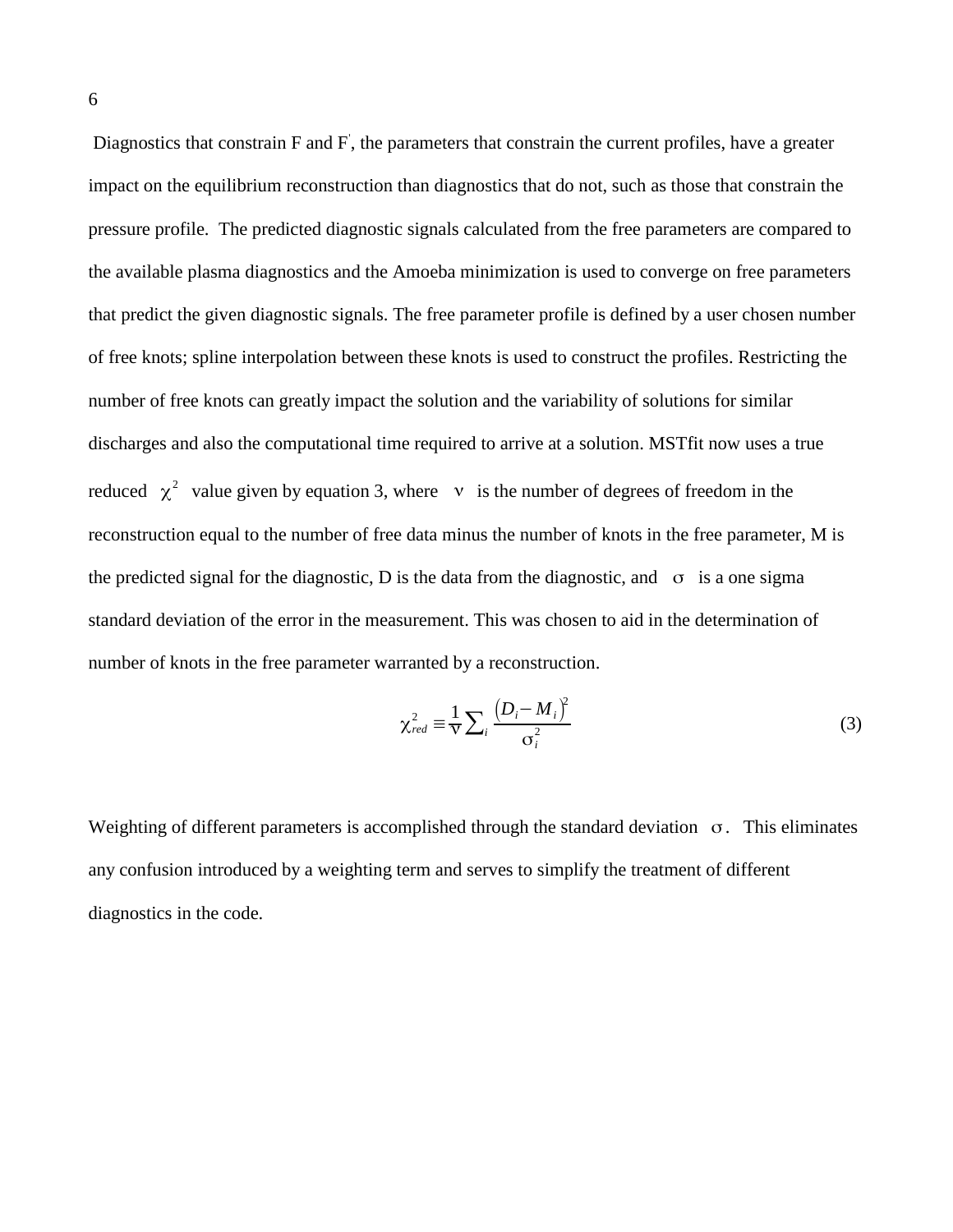Diagnostics that constrain F and F', the parameters that constrain the current profiles, have a greater impact on the equilibrium reconstruction than diagnostics that do not, such as those that constrain the pressure profile. The predicted diagnostic signals calculated from the free parameters are compared to the available plasma diagnostics and the Amoeba minimization is used to converge on free parameters that predict the given diagnostic signals. The free parameter profile is defined by a user chosen number of free knots; spline interpolation between these knots is used to construct the profiles. Restricting the number of free knots can greatly impact the solution and the variability of solutions for similar discharges and also the computational time required to arrive at a solution. MSTfit now uses a true reduced  $\chi^2$  value given by equation 3, where  $\lor$  is the number of degrees of freedom in the reconstruction equal to the number of free data minus the number of knots in the free parameter, M is the predicted signal for the diagnostic, D is the data from the diagnostic, and  $\sigma$  is a one sigma standard deviation of the error in the measurement. This was chosen to aid in the determination of number of knots in the free parameter warranted by a reconstruction.

$$
\chi_{red}^2 \equiv \frac{1}{\nabla} \sum_i \frac{\left(D_i - M_i\right)^2}{\sigma_i^2} \tag{3}
$$

Weighting of different parameters is accomplished through the standard deviation  $\sigma$ . This eliminates any confusion introduced by a weighting term and serves to simplify the treatment of different diagnostics in the code.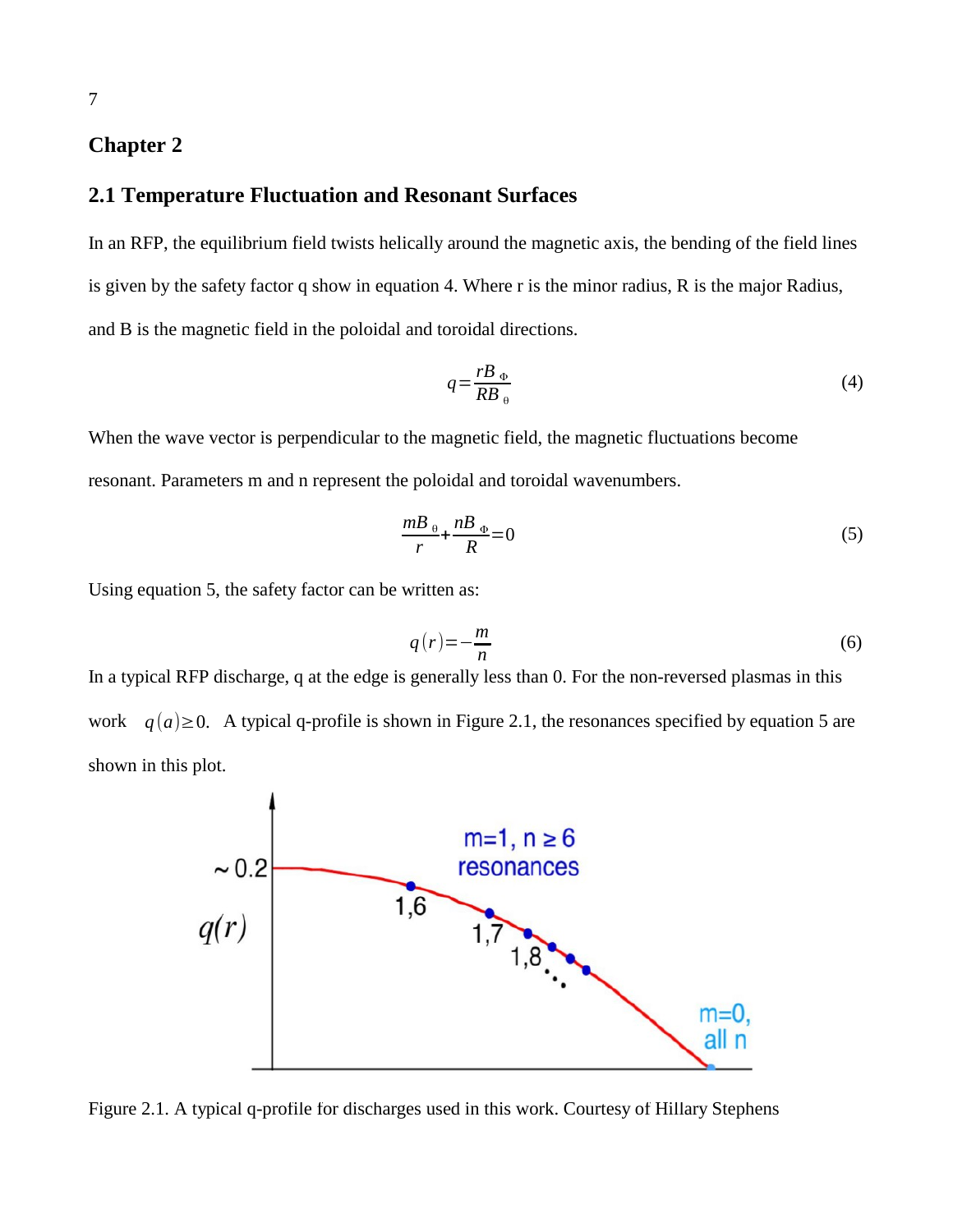#### **Chapter 2**

#### **2.1 Temperature Fluctuation and Resonant Surfaces**

In an RFP, the equilibrium field twists helically around the magnetic axis, the bending of the field lines is given by the safety factor q show in equation 4. Where r is the minor radius, R is the major Radius, and B is the magnetic field in the poloidal and toroidal directions.

$$
q = \frac{r}{RB}_{\theta} \tag{4}
$$

When the wave vector is perpendicular to the magnetic field, the magnetic fluctuations become resonant. Parameters m and n represent the poloidal and toroidal wavenumbers.

$$
\frac{m_{\theta}^2}{r} + \frac{n_{\theta}^2}{R} = 0\tag{5}
$$

Using equation 5, the safety factor can be written as:

$$
q(r) = -\frac{m}{n} \tag{6}
$$

In a typical RFP discharge, q at the edge is generally less than 0. For the non-reversed plasmas in this work *q*(*a*)≥0. A typical q-profile is shown in Figure 2.1, the resonances specified by equation 5 are shown in this plot.



Figure 2.1. A typical q-profile for discharges used in this work. Courtesy of Hillary Stephens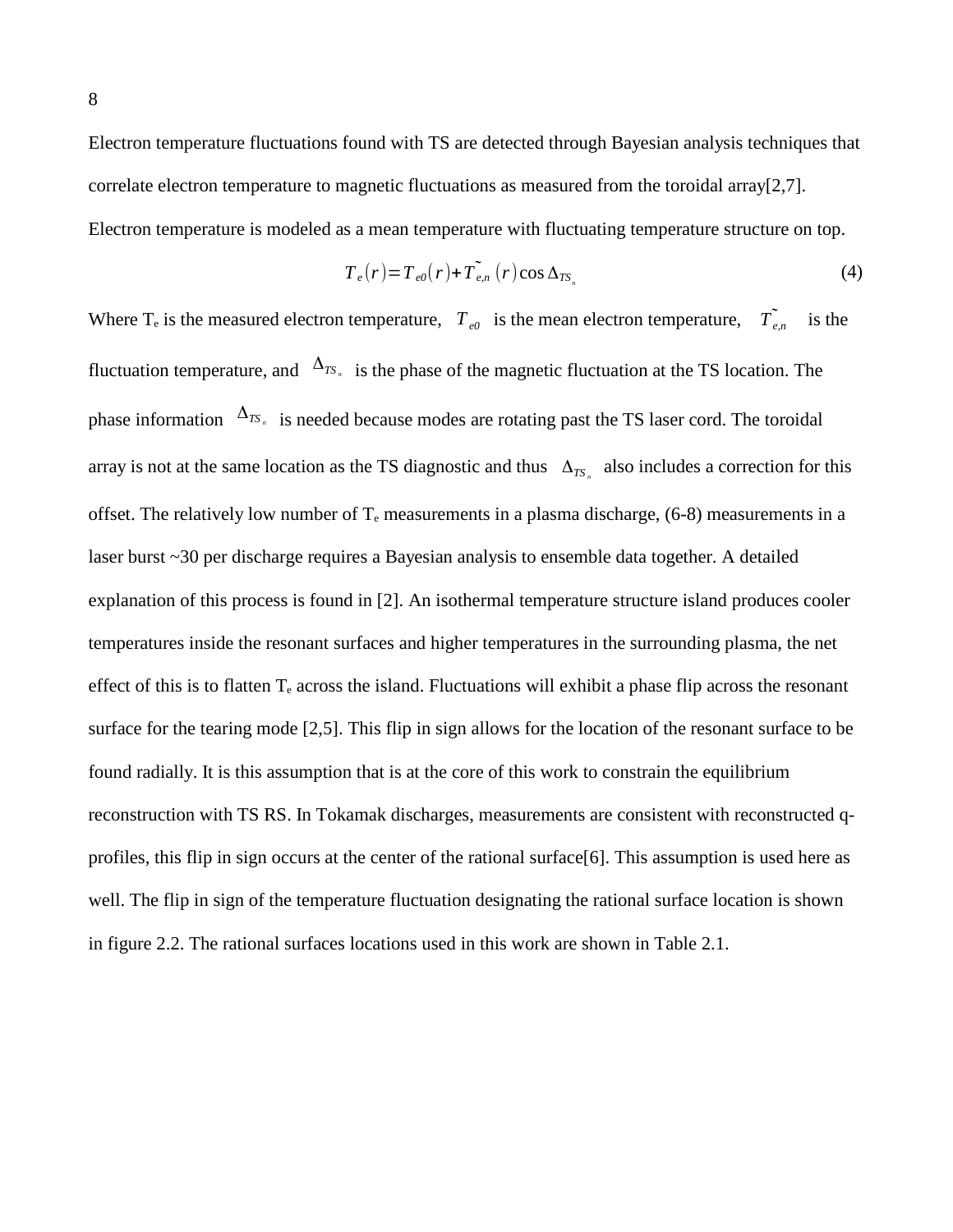Electron temperature fluctuations found with TS are detected through Bayesian analysis techniques that correlate electron temperature to magnetic fluctuations as measured from the toroidal array[2,7]. Electron temperature is modeled as a mean temperature with fluctuating temperature structure on top.

$$
T_e(r) = T_{e0}(r) + T_{e,n}^{\tilde{}}(r) \cos \Delta_{TS_n}
$$
 (4)

Where T<sub>e</sub> is the measured electron temperature,  $T_{e0}$  is the mean electron temperature,  $T_{e,n}$  is the fluctuation temperature, and  $\Delta_{TS_n}$  is the phase of the magnetic fluctuation at the TS location. The phase information Δ*TS <sup>n</sup>* is needed because modes are rotating past the TS laser cord. The toroidal array is not at the same location as the TS diagnostic and thus  $\Delta_{TS_n}$  also includes a correction for this offset. The relatively low number of  $T_e$  measurements in a plasma discharge, (6-8) measurements in a laser burst ~30 per discharge requires a Bayesian analysis to ensemble data together. A detailed explanation of this process is found in [2]. An isothermal temperature structure island produces cooler temperatures inside the resonant surfaces and higher temperatures in the surrounding plasma, the net effect of this is to flatten  $T_e$  across the island. Fluctuations will exhibit a phase flip across the resonant surface for the tearing mode [2,5]. This flip in sign allows for the location of the resonant surface to be found radially. It is this assumption that is at the core of this work to constrain the equilibrium reconstruction with TS RS. In Tokamak discharges, measurements are consistent with reconstructed qprofiles, this flip in sign occurs at the center of the rational surface[6]. This assumption is used here as well. The flip in sign of the temperature fluctuation designating the rational surface location is shown in figure 2.2. The rational surfaces locations used in this work are shown in Table 2.1.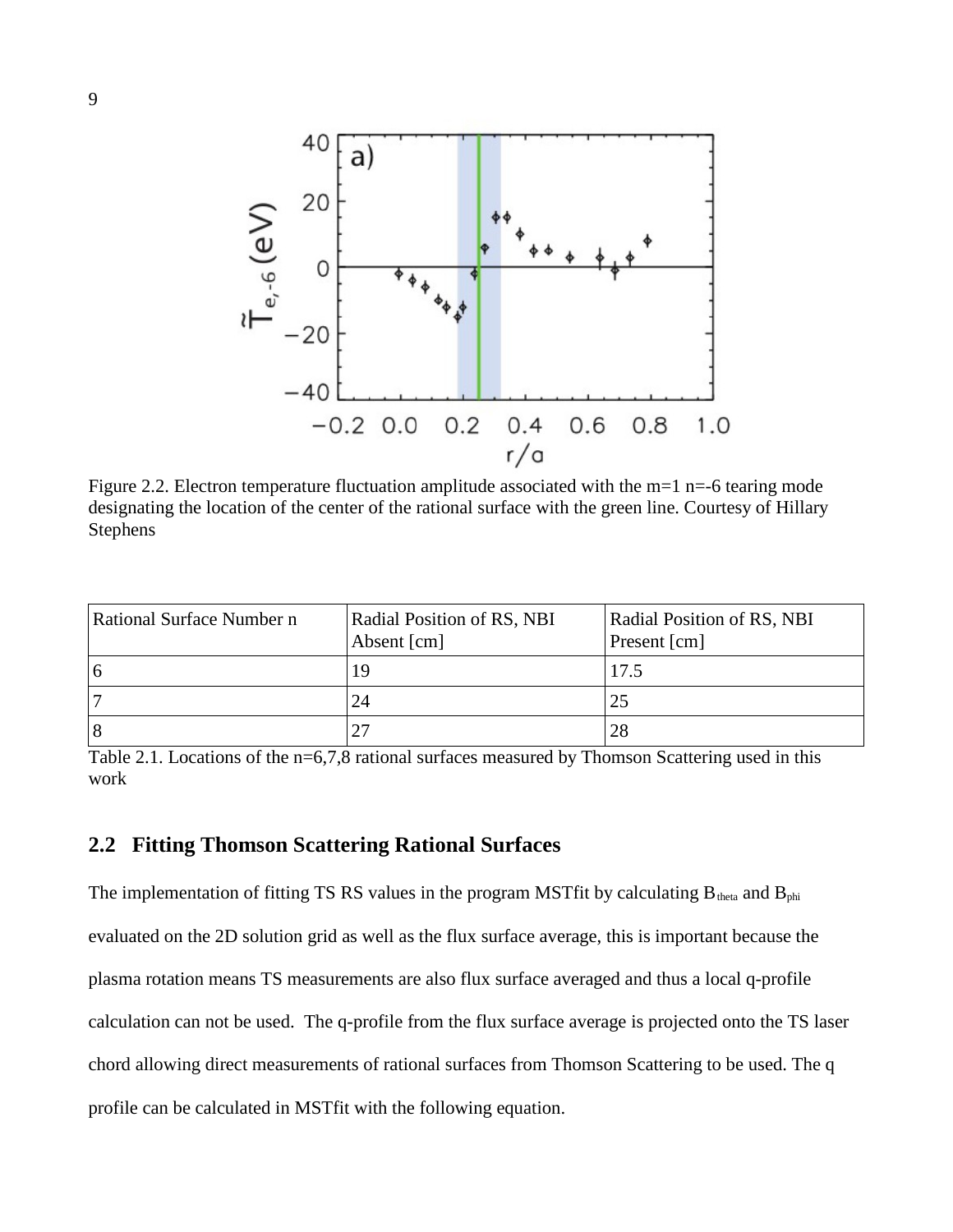

Figure 2.2. Electron temperature fluctuation amplitude associated with the  $m=1$  n=-6 tearing mode designating the location of the center of the rational surface with the green line. Courtesy of Hillary **Stephens** 

| Rational Surface Number n | <b>Radial Position of RS, NBI</b><br>Absent [cm] | Radial Position of RS, NBI<br>Present [cm] |
|---------------------------|--------------------------------------------------|--------------------------------------------|
|                           | 19                                               | 17.5                                       |
|                           | 24                                               | 25                                         |
|                           | 27                                               | 28                                         |

Table 2.1. Locations of the n=6,7,8 rational surfaces measured by Thomson Scattering used in this work

#### **2.2 Fitting Thomson Scattering Rational Surfaces**

The implementation of fitting TS RS values in the program MSTfit by calculating  $B_{theta}$  and  $B_{phi}$ evaluated on the 2D solution grid as well as the flux surface average, this is important because the plasma rotation means TS measurements are also flux surface averaged and thus a local q-profile calculation can not be used. The q-profile from the flux surface average is projected onto the TS laser chord allowing direct measurements of rational surfaces from Thomson Scattering to be used. The q profile can be calculated in MSTfit with the following equation.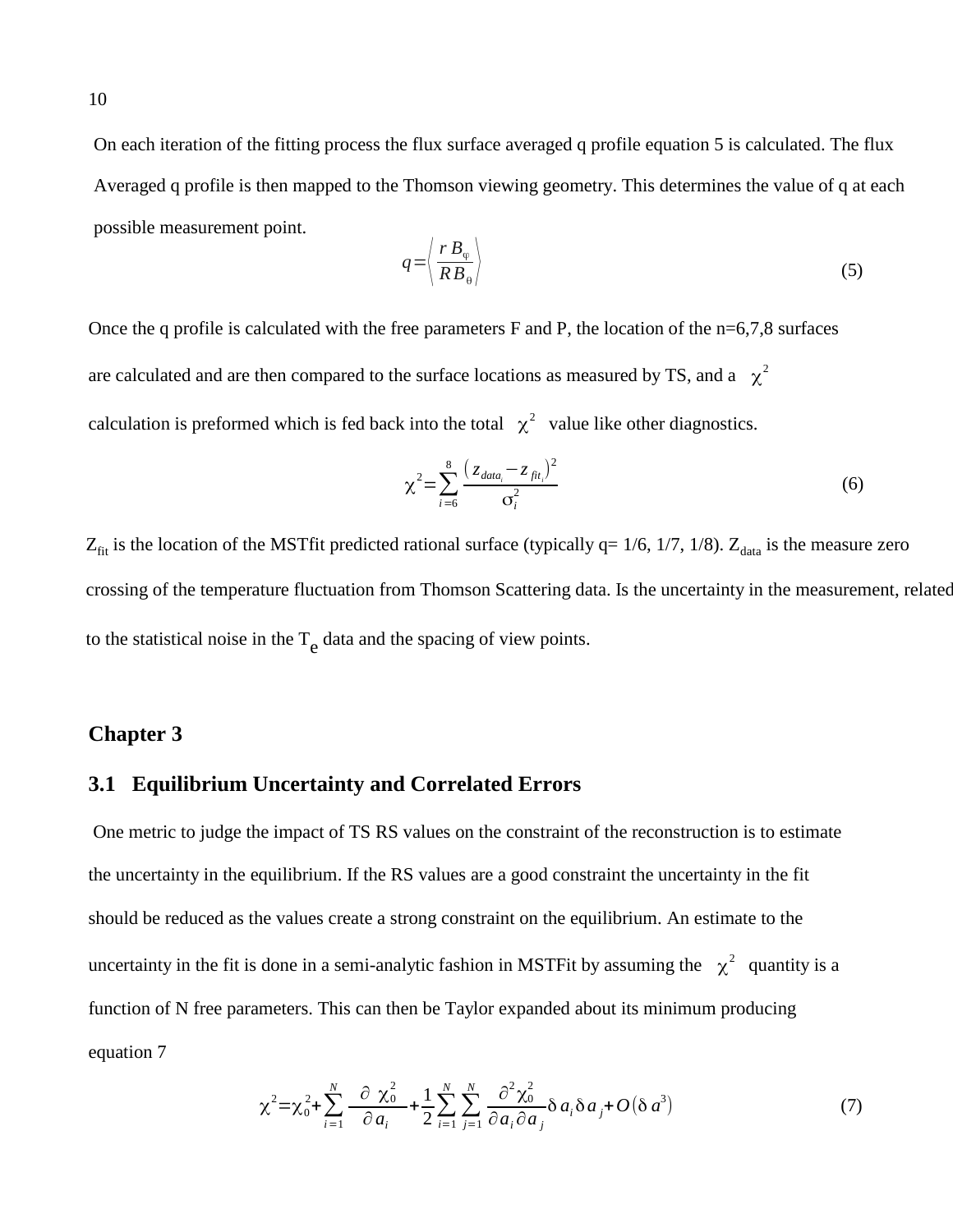On each iteration of the fitting process the flux surface averaged q profile equation 5 is calculated. The flux Averaged q profile is then mapped to the Thomson viewing geometry. This determines the value of q at each possible measurement point.

$$
q = \left\langle \frac{r B_{\varphi}}{R B_{\theta}} \right\rangle \tag{5}
$$

Once the q profile is calculated with the free parameters  $F$  and  $P$ , the location of the  $n=6,7,8$  surfaces are calculated and are then compared to the surface locations as measured by TS, and a  $\chi^2$ calculation is preformed which is fed back into the total  $\chi^2$  value like other diagnostics.

$$
\chi^{2} = \sum_{i=6}^{8} \frac{(z_{data_{i}} - z_{fit_{i}})^{2}}{\sigma_{i}^{2}}
$$
(6)

 $Z_{\text{fit}}$  is the location of the MSTfit predicted rational surface (typically q= 1/6, 1/7, 1/8).  $Z_{\text{data}}$  is the measure zero crossing of the temperature fluctuation from Thomson Scattering data. Is the uncertainty in the measurement, related to the statistical noise in the  $T_e$  data and the spacing of view points.

#### **Chapter 3**

#### **3.1 Equilibrium Uncertainty and Correlated Errors**

One metric to judge the impact of TS RS values on the constraint of the reconstruction is to estimate the uncertainty in the equilibrium. If the RS values are a good constraint the uncertainty in the fit should be reduced as the values create a strong constraint on the equilibrium. An estimate to the uncertainty in the fit is done in a semi-analytic fashion in MSTFit by assuming the  $\chi^2$  quantity is a function of N free parameters. This can then be Taylor expanded about its minimum producing equation 7

$$
\chi^2 = \chi_0^2 + \sum_{i=1}^N \frac{\partial \chi_0^2}{\partial a_i} + \frac{1}{2} \sum_{i=1}^N \sum_{j=1}^N \frac{\partial^2 \chi_0^2}{\partial a_i \partial a_j} \delta a_i \delta a_j + O(\delta a^3)
$$
(7)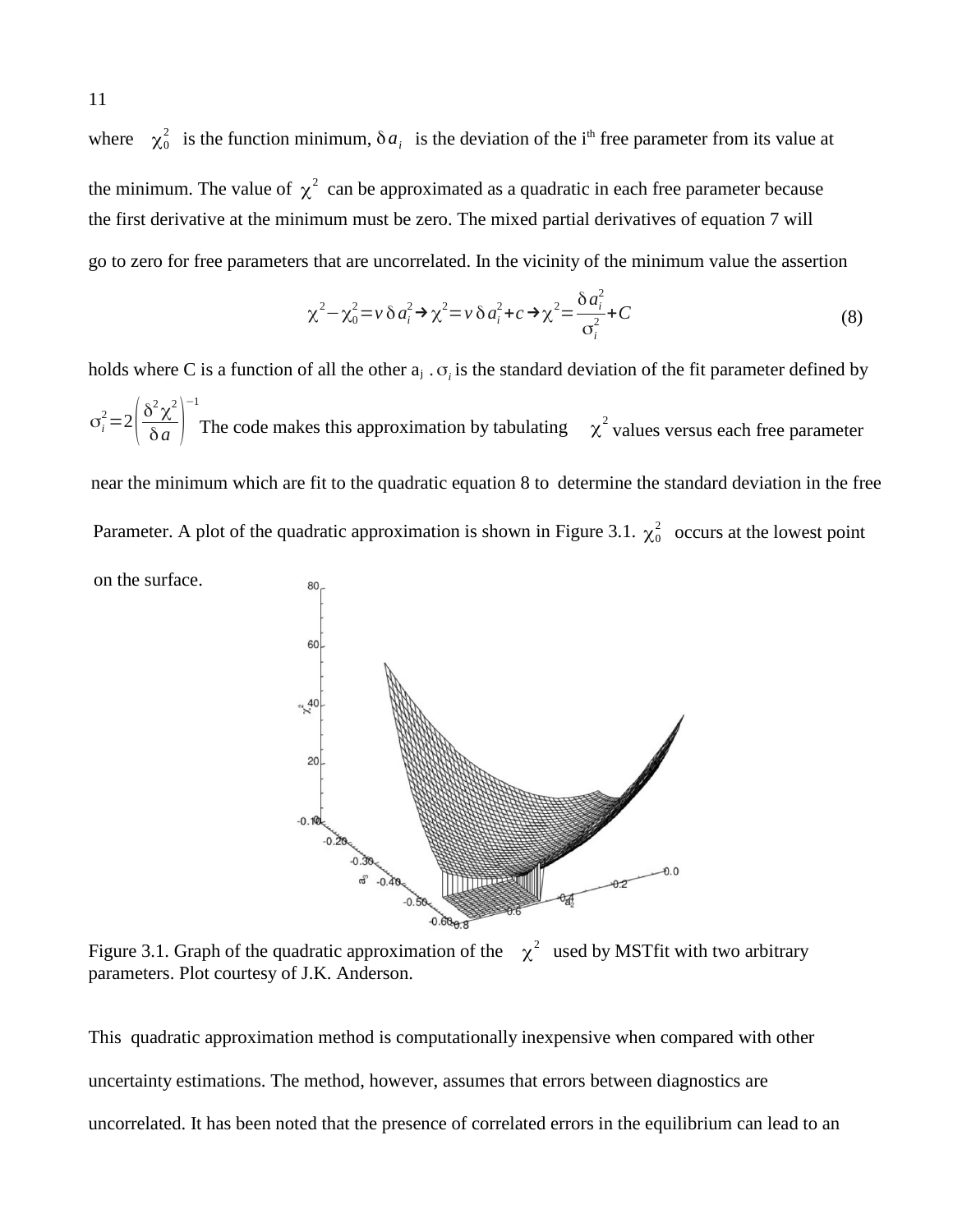where  $\chi_0^2$  is the function minimum,  $\delta a_i$  is the deviation of the i<sup>th</sup> free parameter from its value at the minimum. The value of  $\chi^2$  can be approximated as a quadratic in each free parameter because the first derivative at the minimum must be zero. The mixed partial derivatives of equation 7 will go to zero for free parameters that are uncorrelated. In the vicinity of the minimum value the assertion

$$
\chi^2 - \chi_0^2 = v \, \delta a_i^2 \to \chi^2 = v \, \delta a_i^2 + c \to \chi^2 = \frac{\delta a_i^2}{\sigma_i^2} + C \tag{8}
$$

holds where C is a function of all the other a<sub>j</sub> .  $\sigma_i$  is the standard deviation of the fit parameter defined by −1  $\sigma_i^2 = 2 \left( \frac{\delta^2 \chi^2}{\delta a} \right)$ The code makes this approximation by tabulating  $\chi^2$  values versus each free parameter  $\overline{\delta a}$ near the minimum which are fit to the quadratic equation 8 to determine the standard deviation in the free Parameter. A plot of the quadratic approximation is shown in Figure 3.1.  $\chi_0^2$  occurs at the lowest point on the surface.80



Figure 3.1. Graph of the quadratic approximation of the  $\chi^2$  used by MSTfit with two arbitrary parameters. Plot courtesy of J.K. Anderson.

This quadratic approximation method is computationally inexpensive when compared with other uncertainty estimations. The method, however, assumes that errors between diagnostics are uncorrelated. It has been noted that the presence of correlated errors in the equilibrium can lead to an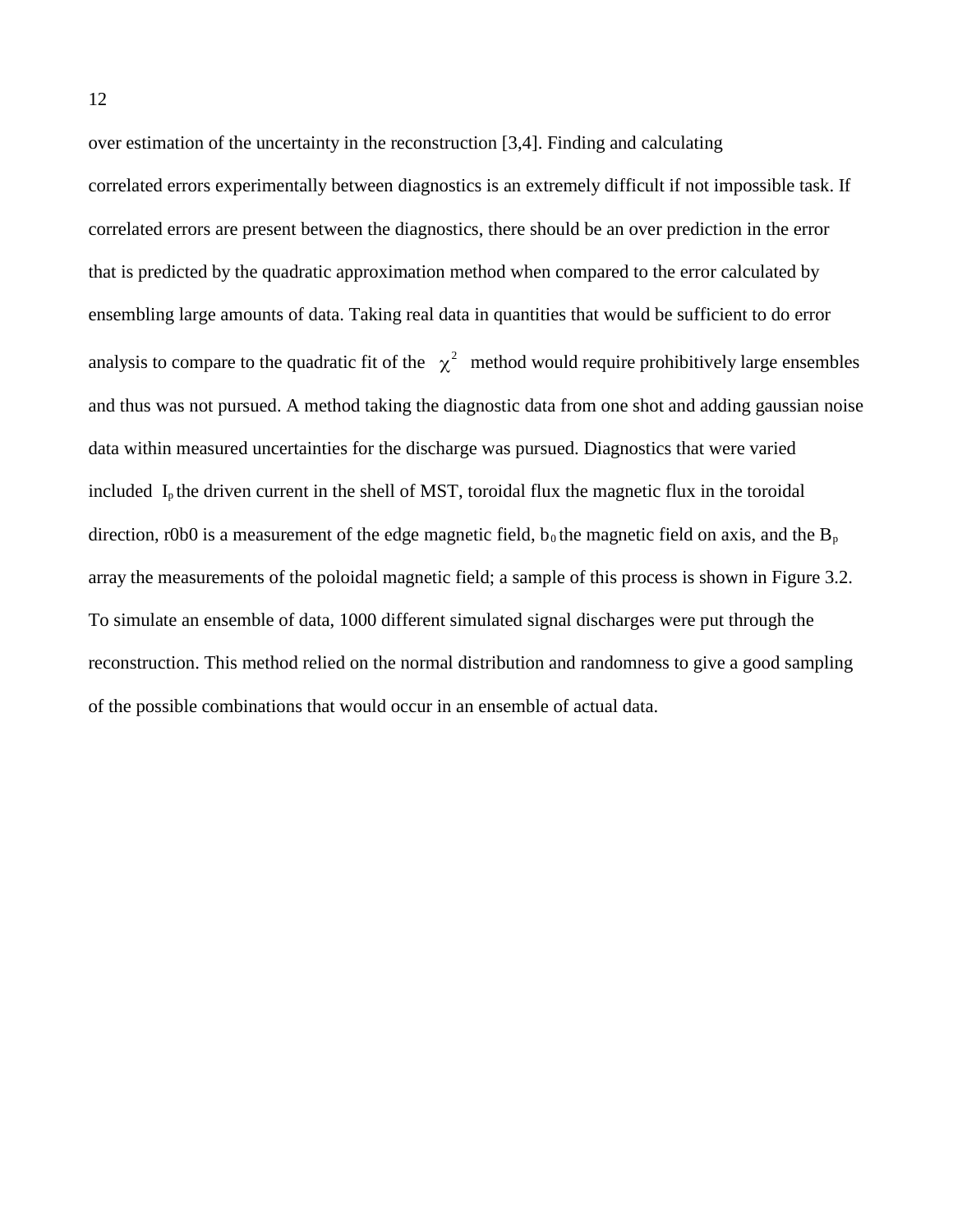over estimation of the uncertainty in the reconstruction [3,4]. Finding and calculating correlated errors experimentally between diagnostics is an extremely difficult if not impossible task. If correlated errors are present between the diagnostics, there should be an over prediction in the error that is predicted by the quadratic approximation method when compared to the error calculated by ensembling large amounts of data. Taking real data in quantities that would be sufficient to do error analysis to compare to the quadratic fit of the  $\chi^2$  method would require prohibitively large ensembles and thus was not pursued. A method taking the diagnostic data from one shot and adding gaussian noise data within measured uncertainties for the discharge was pursued. Diagnostics that were varied included  $I<sub>p</sub>$  the driven current in the shell of MST, toroidal flux the magnetic flux in the toroidal direction, r0b0 is a measurement of the edge magnetic field,  $b_0$  the magnetic field on axis, and the  $B_p$ array the measurements of the poloidal magnetic field; a sample of this process is shown in Figure 3.2. To simulate an ensemble of data, 1000 different simulated signal discharges were put through the reconstruction. This method relied on the normal distribution and randomness to give a good sampling of the possible combinations that would occur in an ensemble of actual data.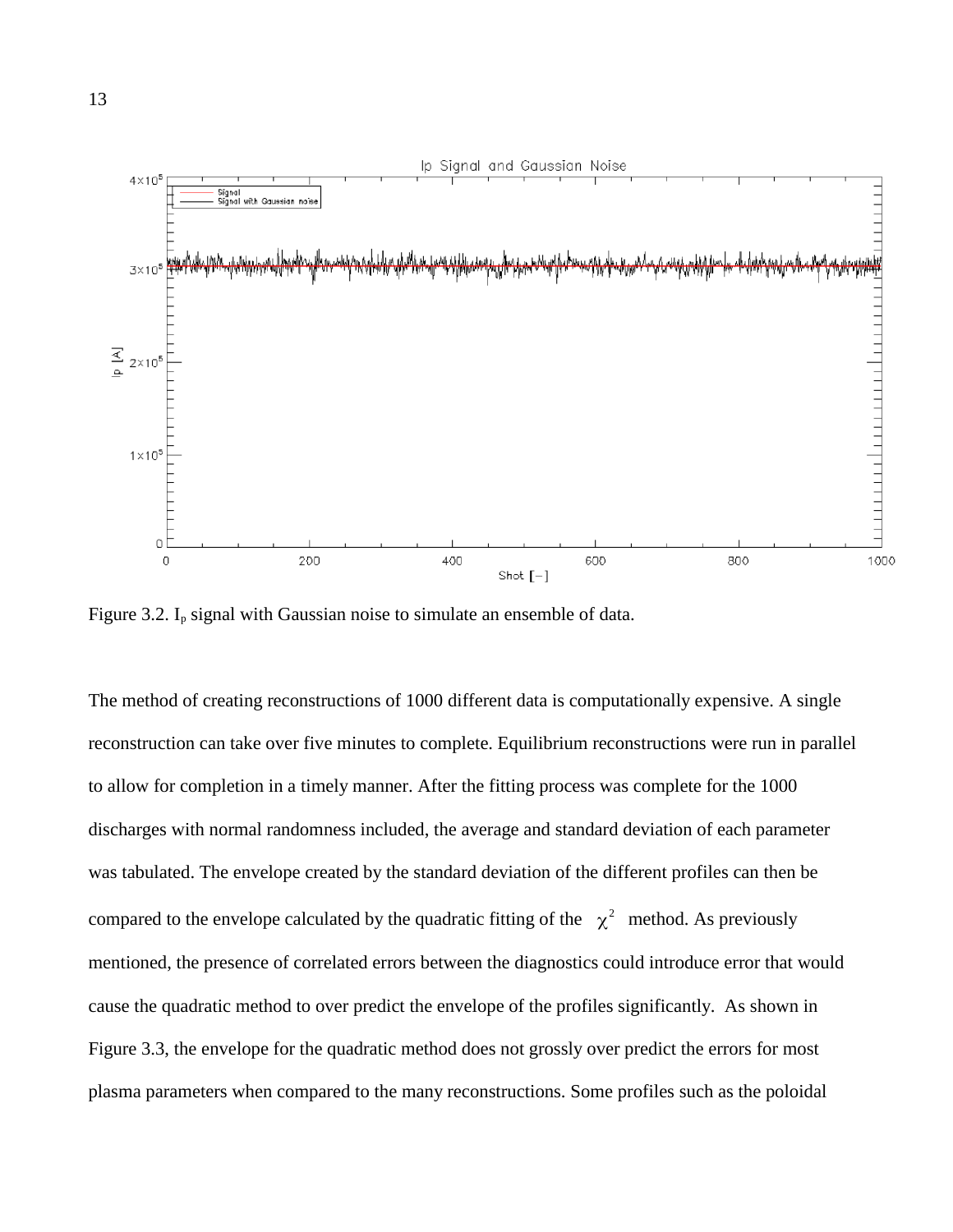

Figure 3.2.  $I_p$  signal with Gaussian noise to simulate an ensemble of data.

The method of creating reconstructions of 1000 different data is computationally expensive. A single reconstruction can take over five minutes to complete. Equilibrium reconstructions were run in parallel to allow for completion in a timely manner. After the fitting process was complete for the 1000 discharges with normal randomness included, the average and standard deviation of each parameter was tabulated. The envelope created by the standard deviation of the different profiles can then be compared to the envelope calculated by the quadratic fitting of the  $\chi^2$  method. As previously mentioned, the presence of correlated errors between the diagnostics could introduce error that would cause the quadratic method to over predict the envelope of the profiles significantly. As shown in Figure 3.3, the envelope for the quadratic method does not grossly over predict the errors for most plasma parameters when compared to the many reconstructions. Some profiles such as the poloidal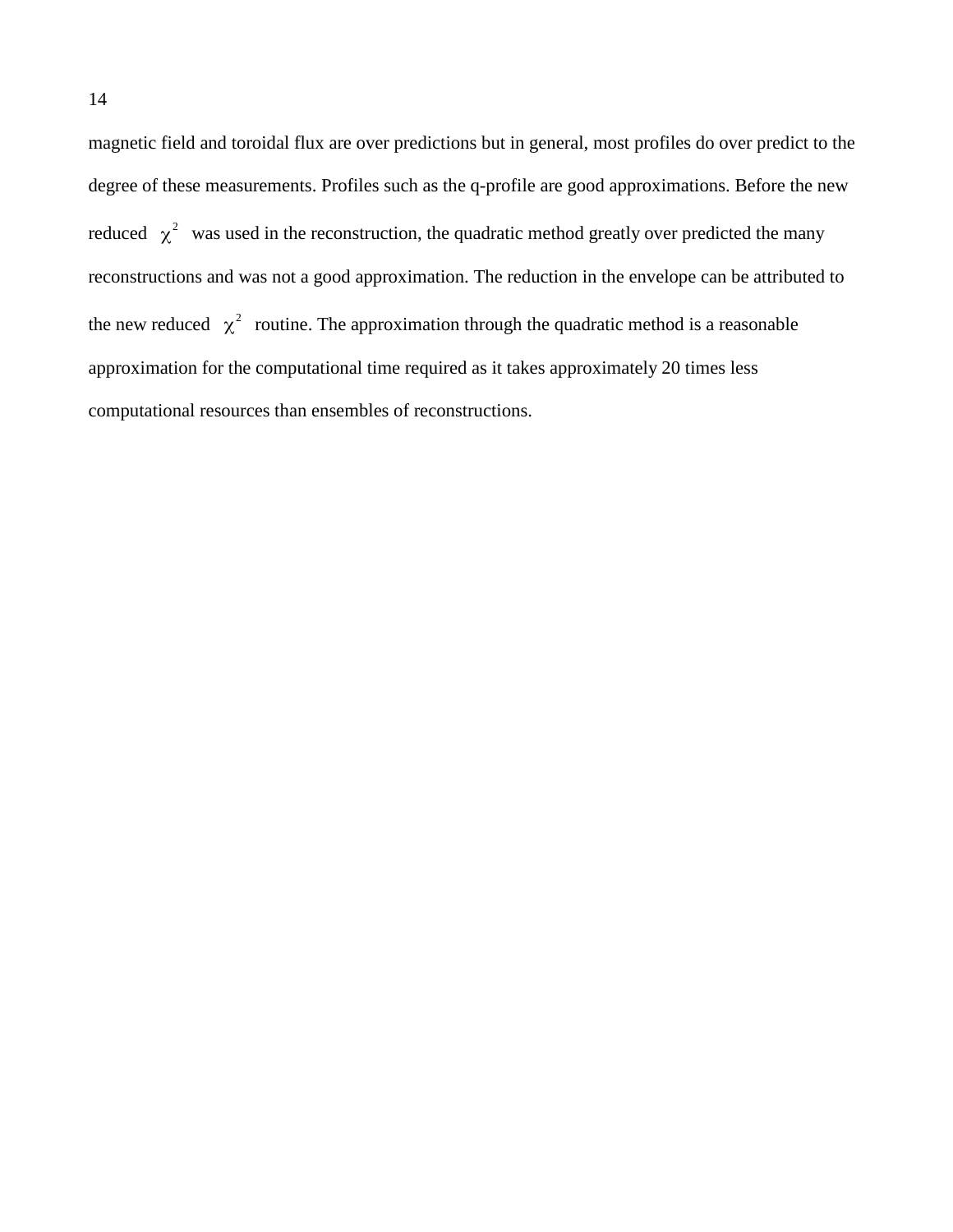magnetic field and toroidal flux are over predictions but in general, most profiles do over predict to the degree of these measurements. Profiles such as the q-profile are good approximations. Before the new reduced  $\chi^2$  was used in the reconstruction, the quadratic method greatly over predicted the many reconstructions and was not a good approximation. The reduction in the envelope can be attributed to the new reduced  $\chi^2$  routine. The approximation through the quadratic method is a reasonable approximation for the computational time required as it takes approximately 20 times less computational resources than ensembles of reconstructions.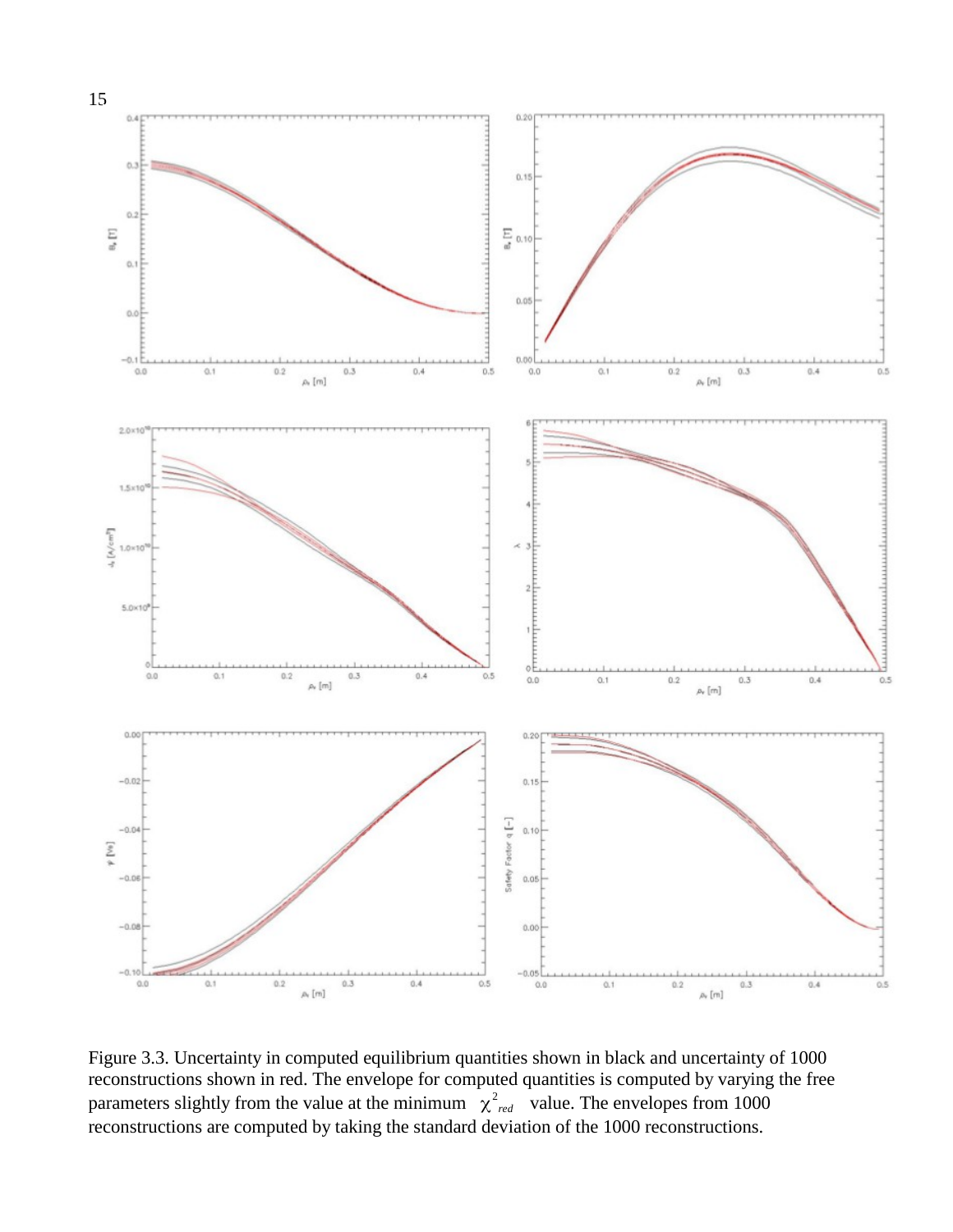

Figure 3.3. Uncertainty in computed equilibrium quantities shown in black and uncertainty of 1000 reconstructions shown in red. The envelope for computed quantities is computed by varying the free parameters slightly from the value at the minimum  $\chi^2_{red}$  value. The envelopes from 1000 reconstructions are computed by taking the standard deviation of the 1000 reconstructions.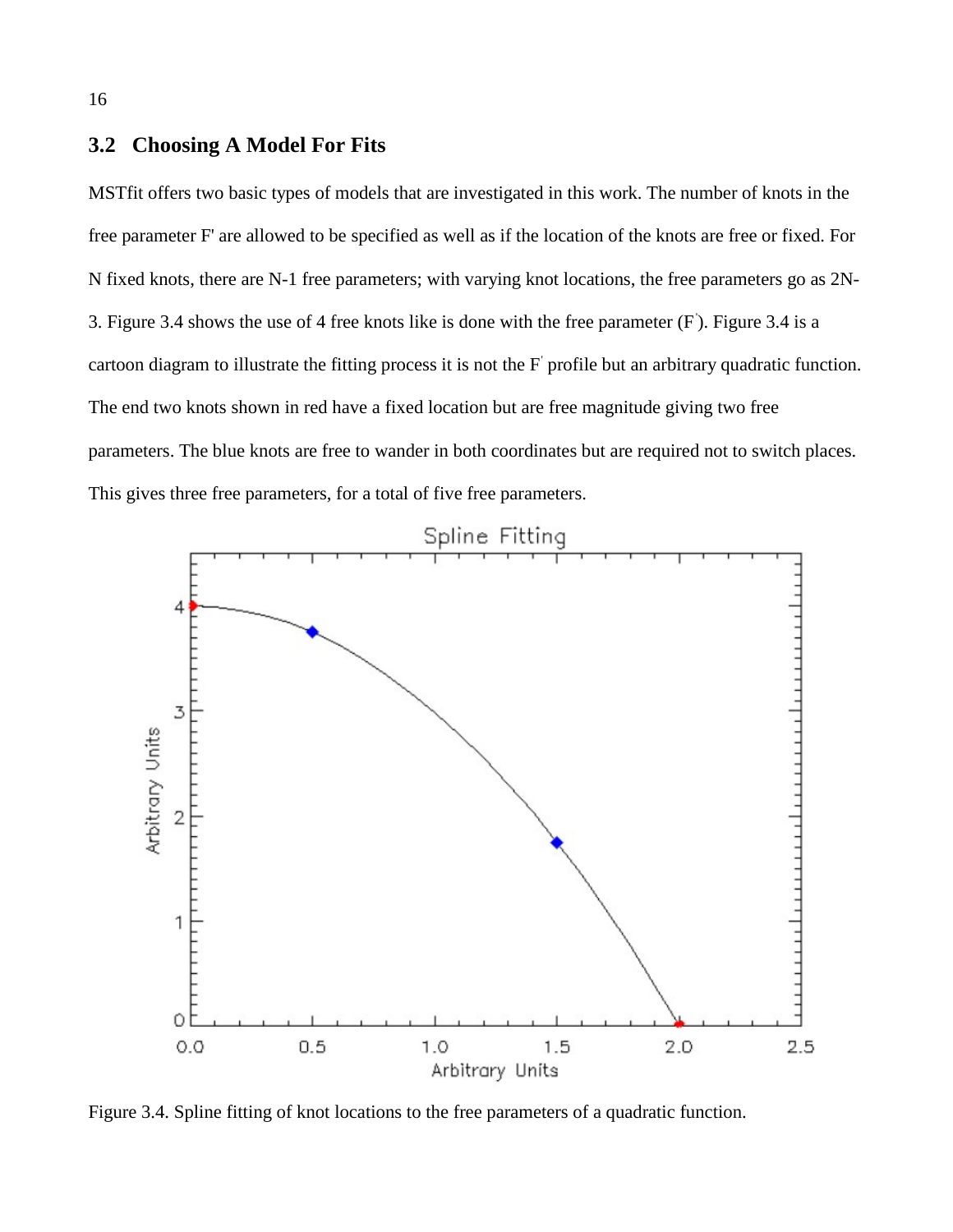#### **3.2 Choosing A Model For Fits**

MSTfit offers two basic types of models that are investigated in this work. The number of knots in the free parameter F' are allowed to be specified as well as if the location of the knots are free or fixed. For N fixed knots, there are N-1 free parameters; with varying knot locations, the free parameters go as 2N-3. Figure 3.4 shows the use of 4 free knots like is done with the free parameter (F' ). Figure 3.4 is a cartoon diagram to illustrate the fitting process it is not the F' profile but an arbitrary quadratic function. The end two knots shown in red have a fixed location but are free magnitude giving two free parameters. The blue knots are free to wander in both coordinates but are required not to switch places. This gives three free parameters, for a total of five free parameters.



Figure 3.4. Spline fitting of knot locations to the free parameters of a quadratic function.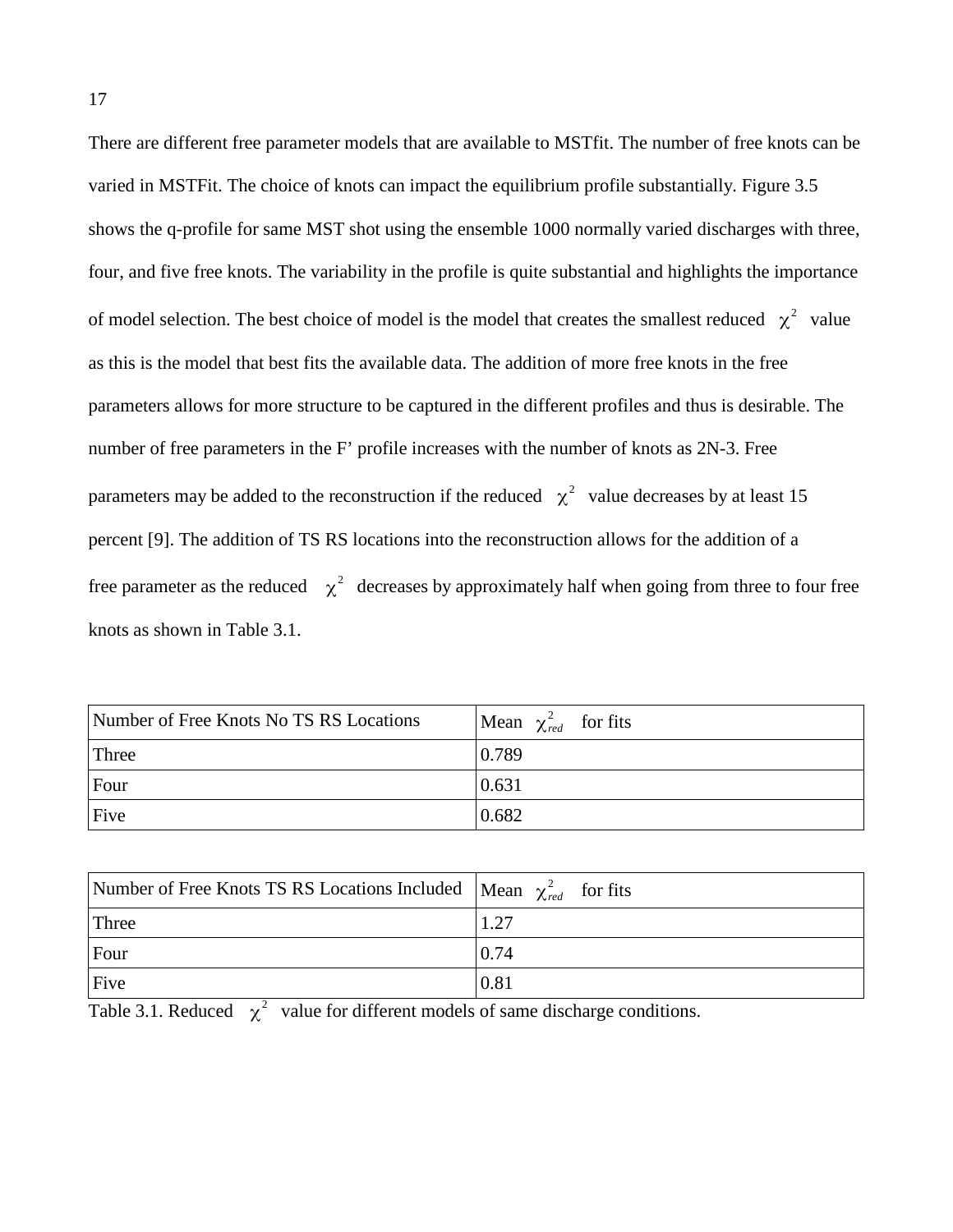There are different free parameter models that are available to MSTfit. The number of free knots can be varied in MSTFit. The choice of knots can impact the equilibrium profile substantially. Figure 3.5 shows the q-profile for same MST shot using the ensemble 1000 normally varied discharges with three, four, and five free knots. The variability in the profile is quite substantial and highlights the importance of model selection. The best choice of model is the model that creates the smallest reduced  $\chi^2$  value as this is the model that best fits the available data. The addition of more free knots in the free parameters allows for more structure to be captured in the different profiles and thus is desirable. The number of free parameters in the F' profile increases with the number of knots as 2N-3. Free parameters may be added to the reconstruction if the reduced  $\chi^2$  value decreases by at least 15 percent [9]. The addition of TS RS locations into the reconstruction allows for the addition of a free parameter as the reduced  $\chi^2$  decreases by approximately half when going from three to four free knots as shown in Table 3.1.

| Number of Free Knots No TS RS Locations | Mean $\chi^2_{red}$ for fits |
|-----------------------------------------|------------------------------|
| Three                                   | 0.789                        |
| Four                                    | 0.631                        |
| Five                                    | 0.682                        |

| Number of Free Knots TS RS Locations Included   Mean $\chi^2_{red}$ for fits |      |
|------------------------------------------------------------------------------|------|
| Three                                                                        | 1.27 |
| Four                                                                         | 0.74 |
| Five                                                                         | 0.81 |

Table 3.1. Reduced  $\chi^2$  value for different models of same discharge conditions.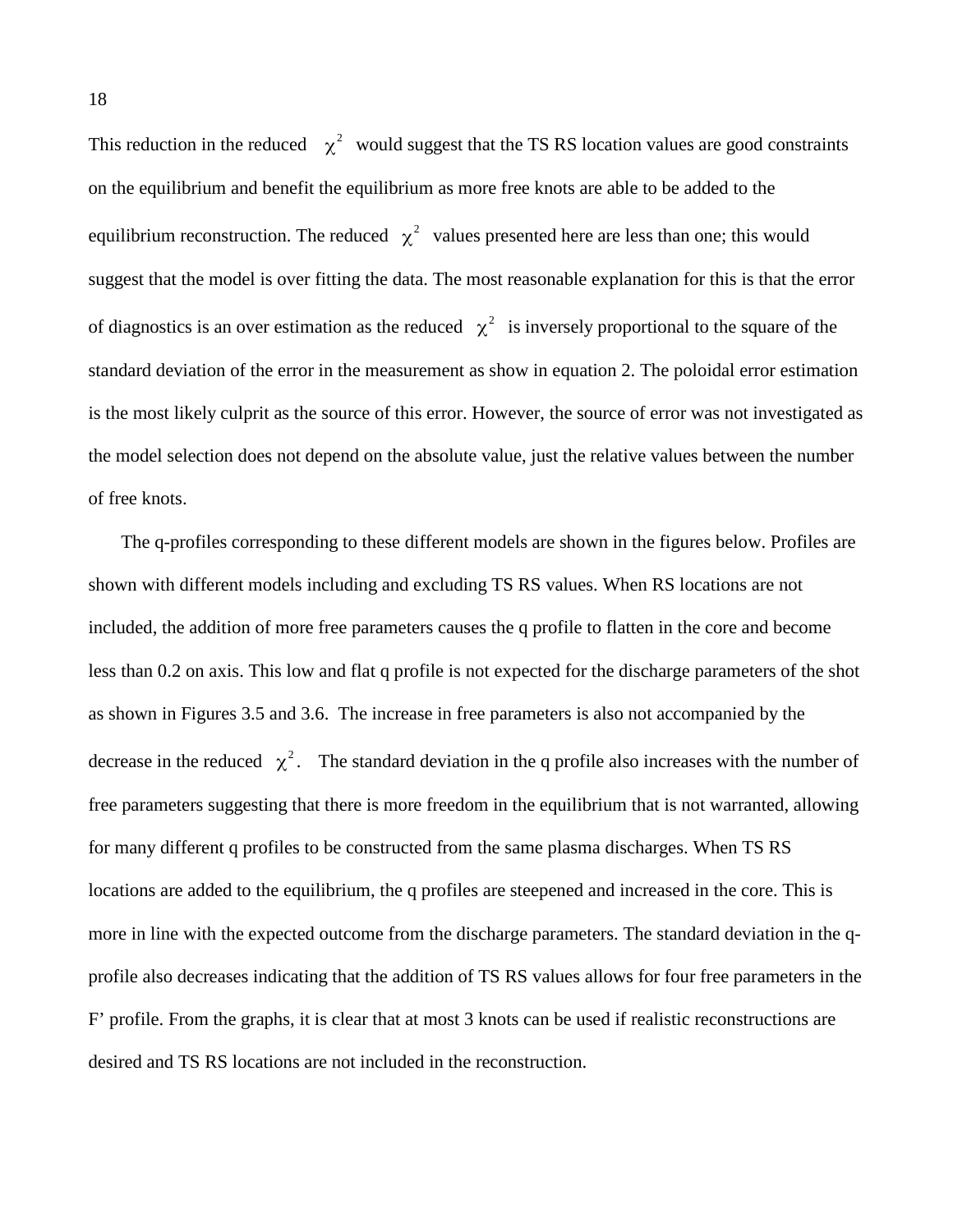This reduction in the reduced  $\chi^2$  would suggest that the TS RS location values are good constraints on the equilibrium and benefit the equilibrium as more free knots are able to be added to the equilibrium reconstruction. The reduced  $\chi^2$  values presented here are less than one; this would suggest that the model is over fitting the data. The most reasonable explanation for this is that the error of diagnostics is an over estimation as the reduced  $\chi^2$  is inversely proportional to the square of the standard deviation of the error in the measurement as show in equation 2. The poloidal error estimation is the most likely culprit as the source of this error. However, the source of error was not investigated as the model selection does not depend on the absolute value, just the relative values between the number of free knots.

The q-profiles corresponding to these different models are shown in the figures below. Profiles are shown with different models including and excluding TS RS values. When RS locations are not included, the addition of more free parameters causes the q profile to flatten in the core and become less than 0.2 on axis. This low and flat q profile is not expected for the discharge parameters of the shot as shown in Figures 3.5 and 3.6. The increase in free parameters is also not accompanied by the decrease in the reduced  $\chi^2$ . The standard deviation in the q profile also increases with the number of free parameters suggesting that there is more freedom in the equilibrium that is not warranted, allowing for many different q profiles to be constructed from the same plasma discharges. When TS RS locations are added to the equilibrium, the q profiles are steepened and increased in the core. This is more in line with the expected outcome from the discharge parameters. The standard deviation in the qprofile also decreases indicating that the addition of TS RS values allows for four free parameters in the F' profile. From the graphs, it is clear that at most 3 knots can be used if realistic reconstructions are desired and TS RS locations are not included in the reconstruction.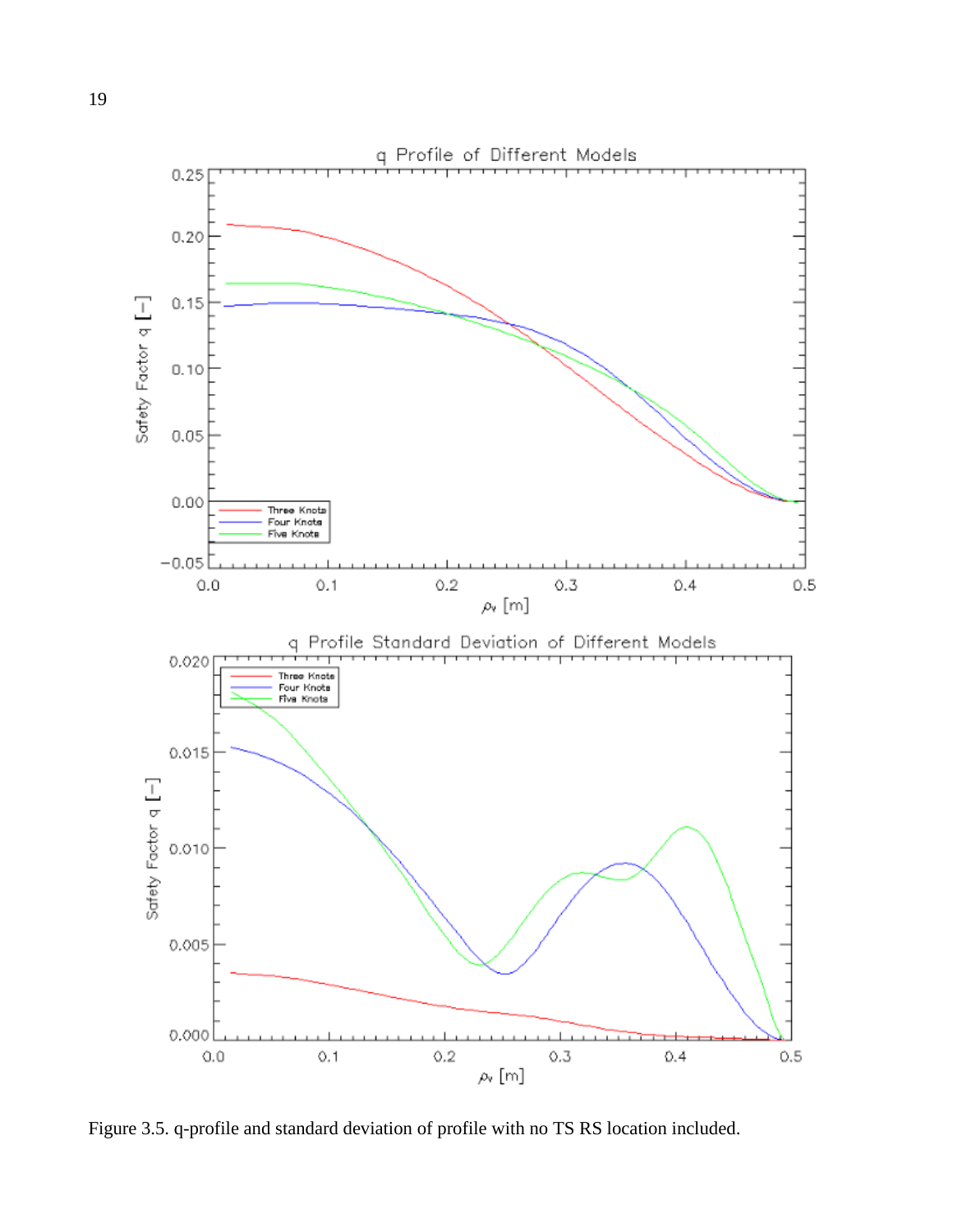

Figure 3.5. q-profile and standard deviation of profile with no TS RS location included.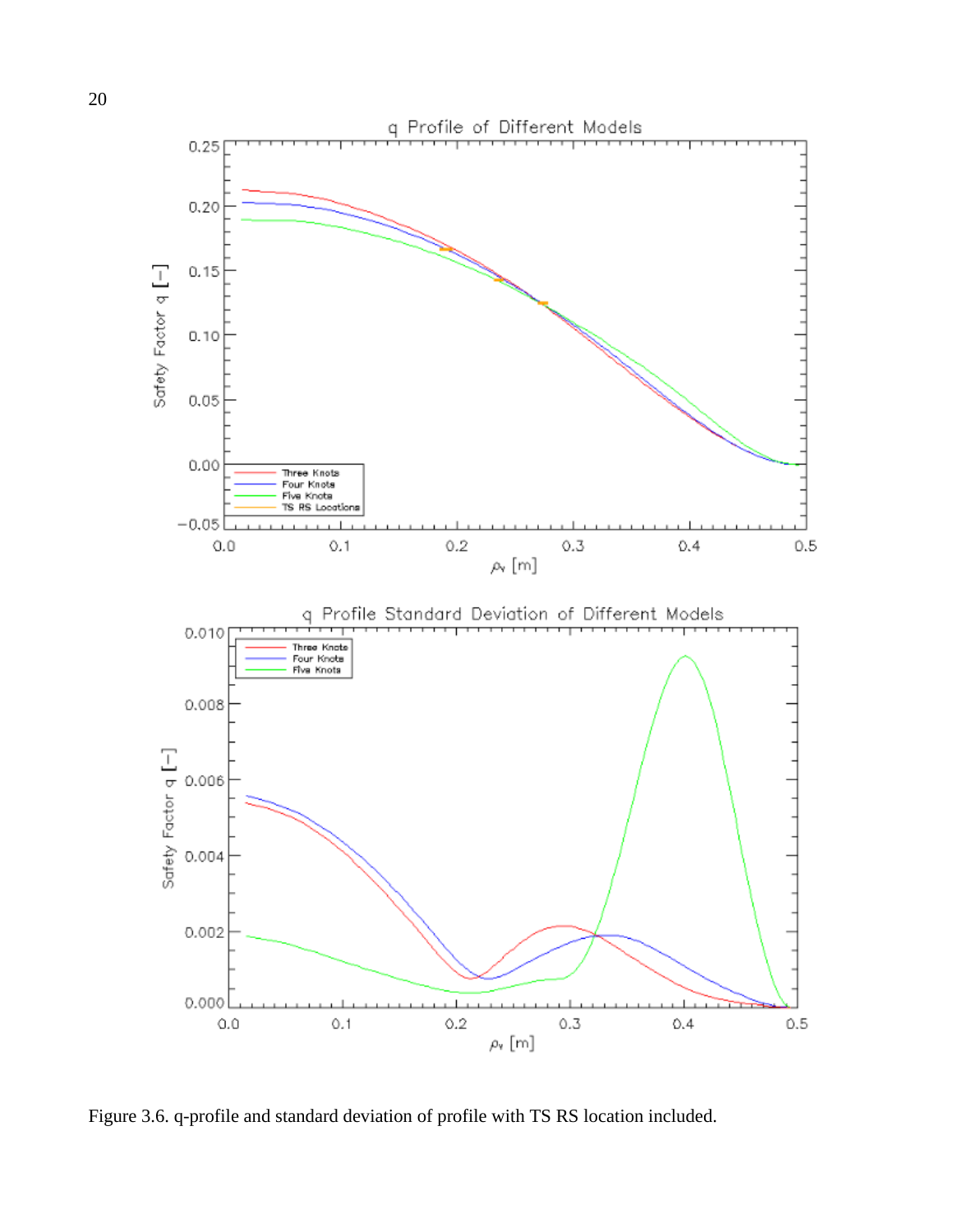

Figure 3.6. q-profile and standard deviation of profile with TS RS location included.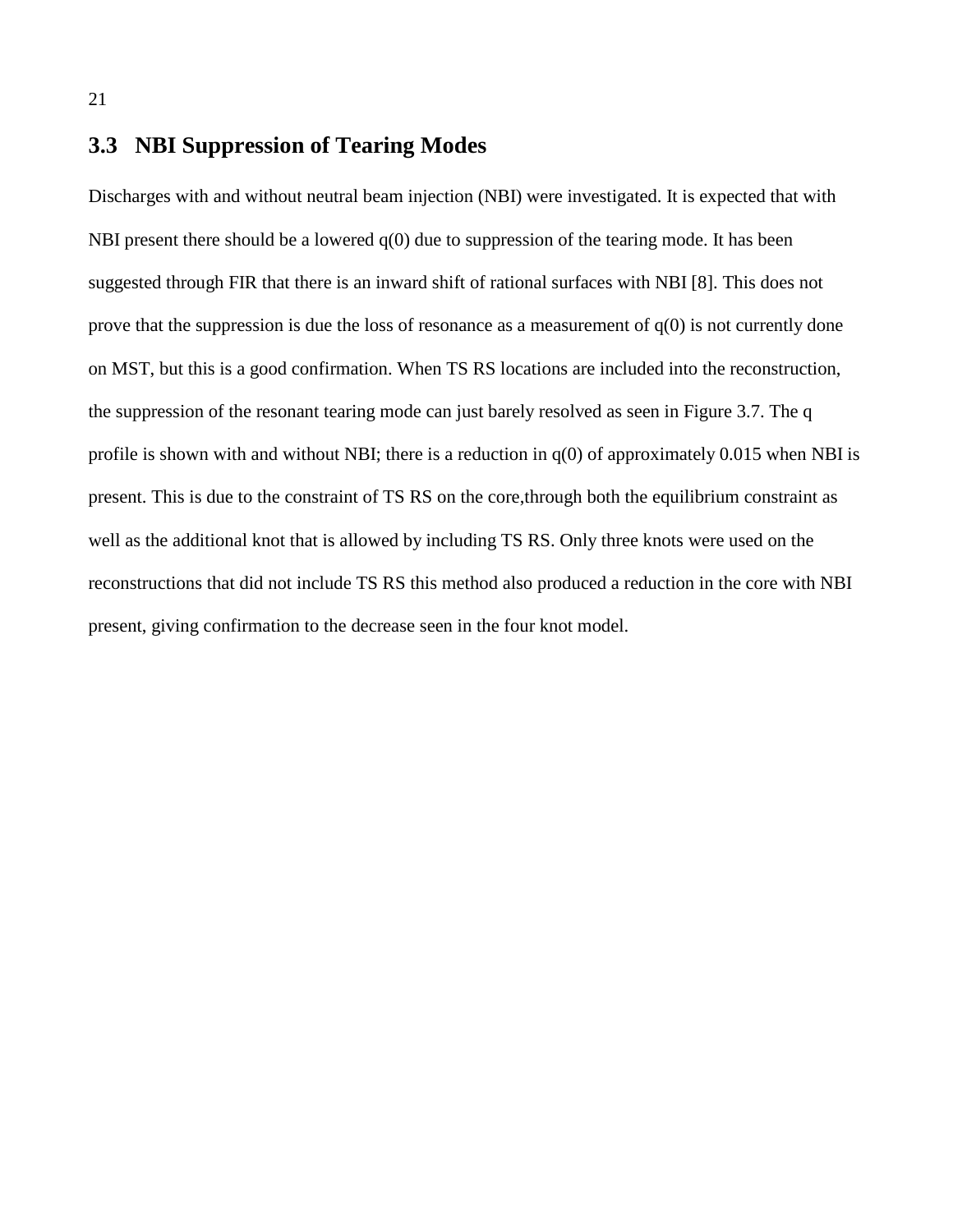#### **3.3 NBI Suppression of Tearing Modes**

Discharges with and without neutral beam injection (NBI) were investigated. It is expected that with NBI present there should be a lowered  $q(0)$  due to suppression of the tearing mode. It has been suggested through FIR that there is an inward shift of rational surfaces with NBI [8]. This does not prove that the suppression is due the loss of resonance as a measurement of q(0) is not currently done on MST, but this is a good confirmation. When TS RS locations are included into the reconstruction, the suppression of the resonant tearing mode can just barely resolved as seen in Figure 3.7. The q profile is shown with and without NBI; there is a reduction in q(0) of approximately 0.015 when NBI is present. This is due to the constraint of TS RS on the core,through both the equilibrium constraint as well as the additional knot that is allowed by including TS RS. Only three knots were used on the reconstructions that did not include TS RS this method also produced a reduction in the core with NBI present, giving confirmation to the decrease seen in the four knot model.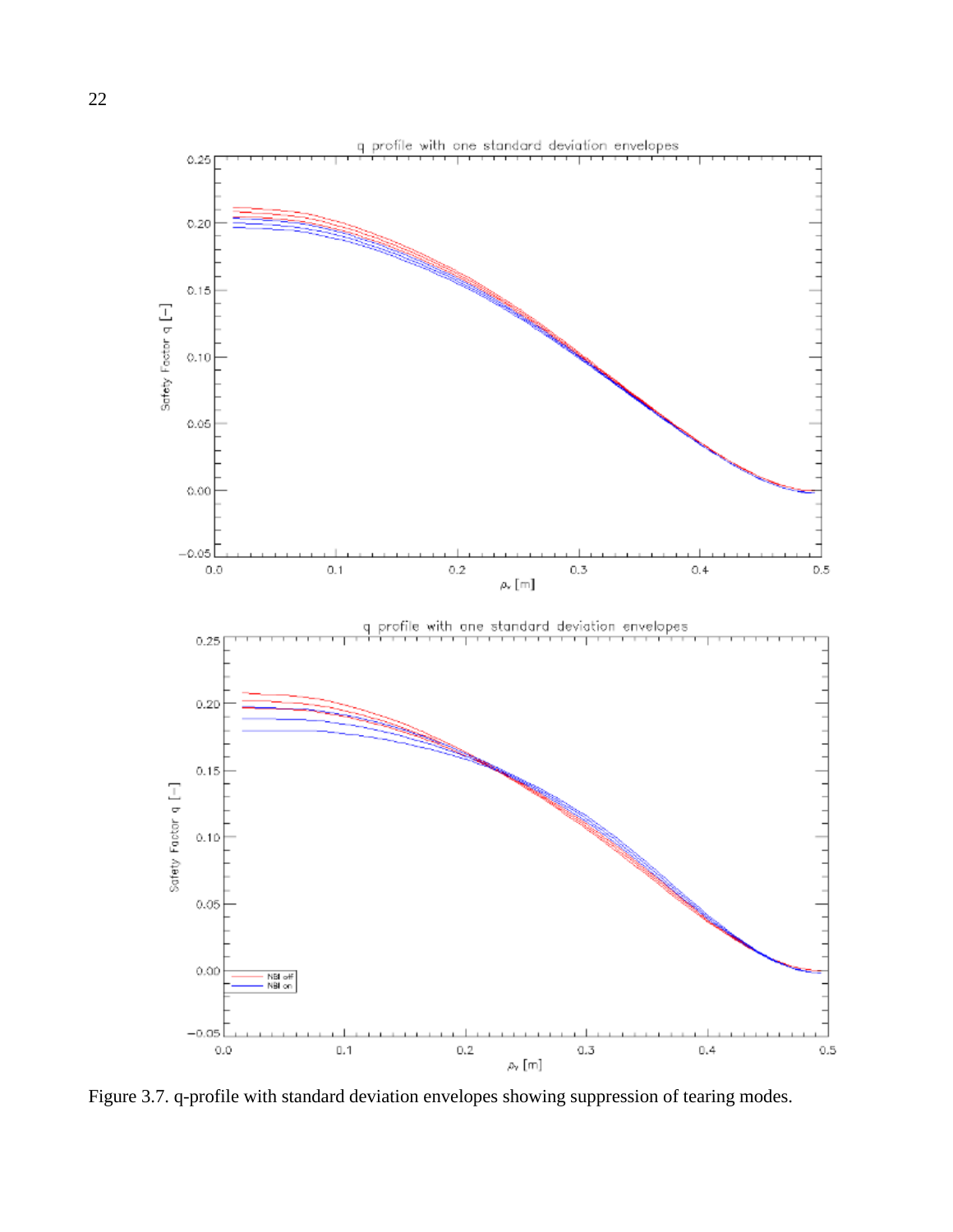

Figure 3.7. q-profile with standard deviation envelopes showing suppression of tearing modes.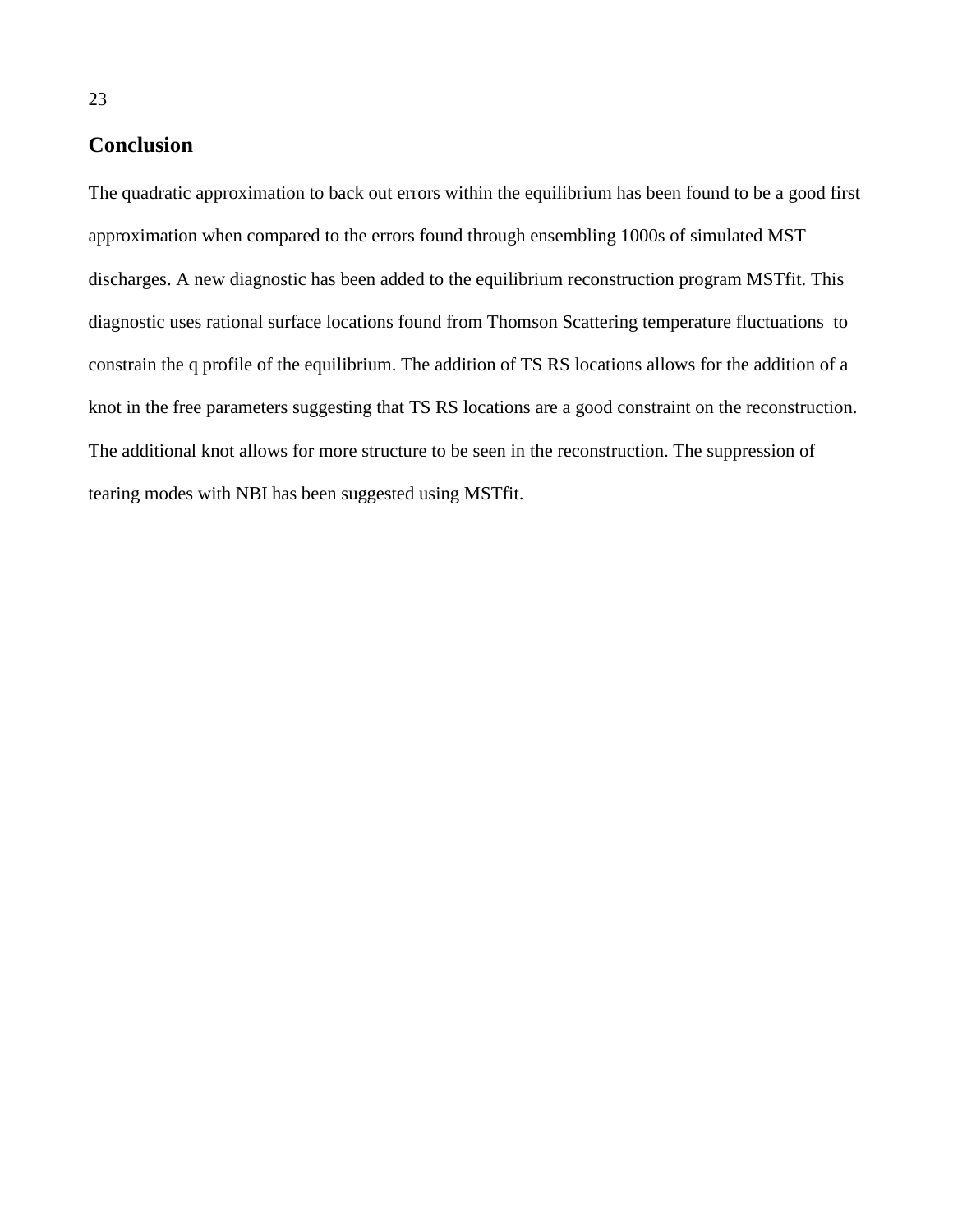#### **Conclusion**

The quadratic approximation to back out errors within the equilibrium has been found to be a good first approximation when compared to the errors found through ensembling 1000s of simulated MST discharges. A new diagnostic has been added to the equilibrium reconstruction program MSTfit. This diagnostic uses rational surface locations found from Thomson Scattering temperature fluctuations to constrain the q profile of the equilibrium. The addition of TS RS locations allows for the addition of a knot in the free parameters suggesting that TS RS locations are a good constraint on the reconstruction. The additional knot allows for more structure to be seen in the reconstruction. The suppression of tearing modes with NBI has been suggested using MSTfit.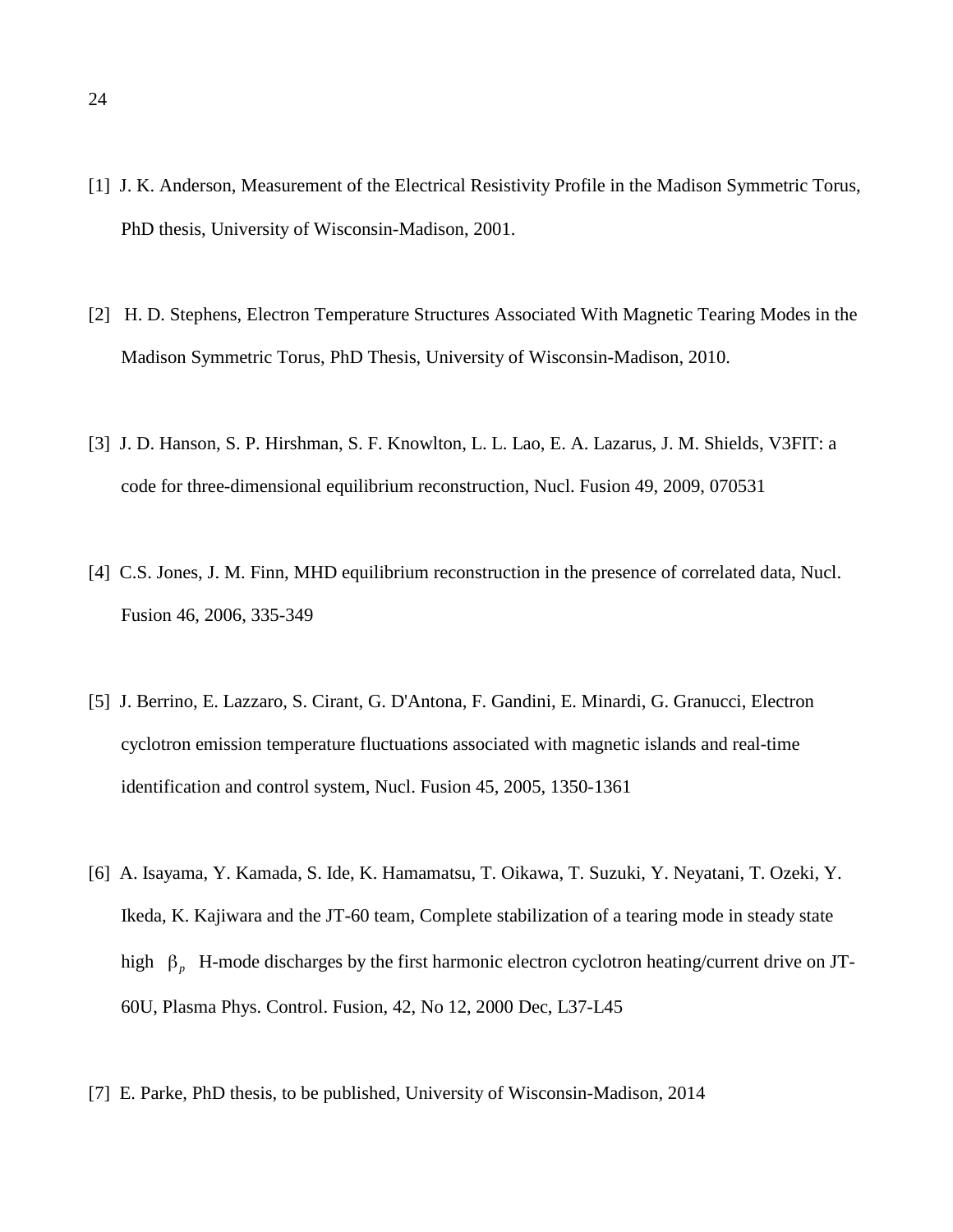- [1] J. K. Anderson, Measurement of the Electrical Resistivity Profile in the Madison Symmetric Torus, PhD thesis, University of Wisconsin-Madison, 2001.
- [2] H. D. Stephens, Electron Temperature Structures Associated With Magnetic Tearing Modes in the Madison Symmetric Torus, PhD Thesis, University of Wisconsin-Madison, 2010.
- [3] J. D. Hanson, S. P. Hirshman, S. F. Knowlton, L. L. Lao, E. A. Lazarus, J. M. Shields, V3FIT: a code for three-dimensional equilibrium reconstruction, Nucl. Fusion 49, 2009, 070531
- [4] C.S. Jones, J. M. Finn, MHD equilibrium reconstruction in the presence of correlated data, Nucl. Fusion 46, 2006, 335-349
- [5] J. Berrino, E. Lazzaro, S. Cirant, G. D'Antona, F. Gandini, E. Minardi, G. Granucci, Electron cyclotron emission temperature fluctuations associated with magnetic islands and real-time identification and control system, Nucl. Fusion 45, 2005, 1350-1361
- [6] A. Isayama, Y. Kamada, S. Ide, K. Hamamatsu, T. Oikawa, T. Suzuki, Y. Neyatani, T. Ozeki, Y. Ikeda, K. Kajiwara and the JT-60 team, Complete stabilization of a tearing mode in steady state high β*<sup>p</sup>* H-mode discharges by the first harmonic electron cyclotron heating/current drive on JT-60U, Plasma Phys. Control. Fusion, 42, No 12, 2000 Dec, L37-L45
- [7] E. Parke, PhD thesis, to be published, University of Wisconsin-Madison, 2014